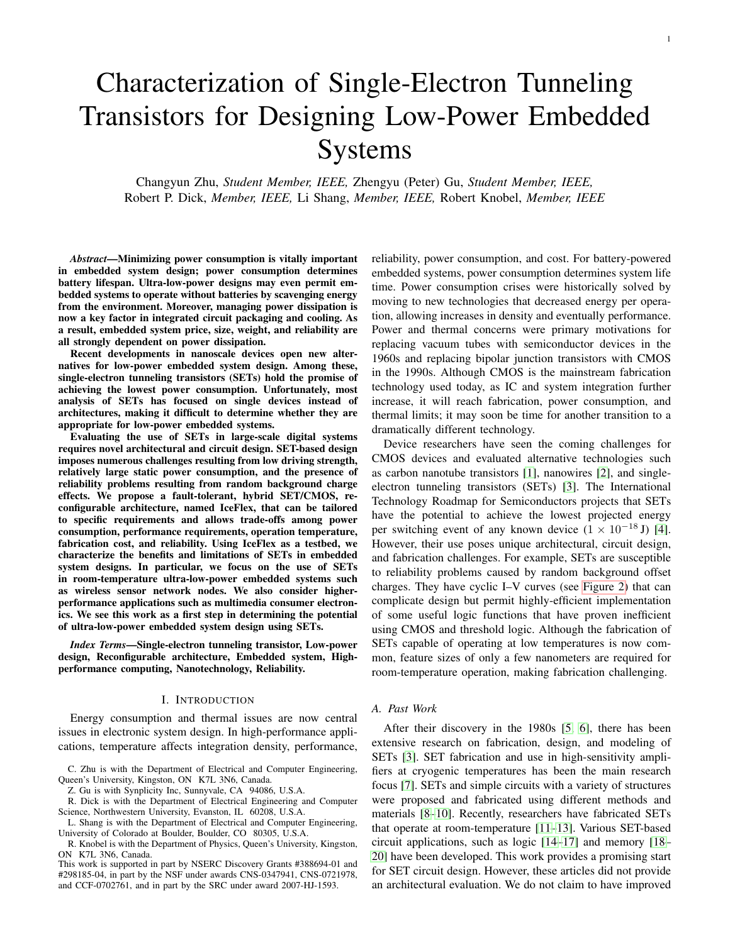# Characterization of Single-Electron Tunneling Transistors for Designing Low-Power Embedded Systems

Changyun Zhu, *Student Member, IEEE,* Zhengyu (Peter) Gu, *Student Member, IEEE,* Robert P. Dick, *Member, IEEE,* Li Shang, *Member, IEEE,* Robert Knobel, *Member, IEEE*

*Abstract*—Minimizing power consumption is vitally important in embedded system design; power consumption determines battery lifespan. Ultra-low-power designs may even permit embedded systems to operate without batteries by scavenging energy from the environment. Moreover, managing power dissipation is now a key factor in integrated circuit packaging and cooling. As a result, embedded system price, size, weight, and reliability are all strongly dependent on power dissipation.

Recent developments in nanoscale devices open new alternatives for low-power embedded system design. Among these, single-electron tunneling transistors (SETs) hold the promise of achieving the lowest power consumption. Unfortunately, most analysis of SETs has focused on single devices instead of architectures, making it difficult to determine whether they are appropriate for low-power embedded systems.

Evaluating the use of SETs in large-scale digital systems requires novel architectural and circuit design. SET-based design imposes numerous challenges resulting from low driving strength, relatively large static power consumption, and the presence of reliability problems resulting from random background charge effects. We propose a fault-tolerant, hybrid SET/CMOS, reconfigurable architecture, named IceFlex, that can be tailored to specific requirements and allows trade-offs among power consumption, performance requirements, operation temperature, fabrication cost, and reliability. Using IceFlex as a testbed, we characterize the benefits and limitations of SETs in embedded system designs. In particular, we focus on the use of SETs in room-temperature ultra-low-power embedded systems such as wireless sensor network nodes. We also consider higherperformance applications such as multimedia consumer electronics. We see this work as a first step in determining the potential of ultra-low-power embedded system design using SETs.

*Index Terms*—Single-electron tunneling transistor, Low-power design, Reconfigurable architecture, Embedded system, Highperformance computing, Nanotechnology, Reliability.

#### I. INTRODUCTION

Energy consumption and thermal issues are now central issues in electronic system design. In high-performance applications, temperature affects integration density, performance,

C. Zhu is with the Department of Electrical and Computer Engineering, Queen's University, Kingston, ON K7L 3N6, Canada.

Z. Gu is with Synplicity Inc, Sunnyvale, CA 94086, U.S.A.

R. Dick is with the Department of Electrical Engineering and Computer Science, Northwestern University, Evanston, IL 60208, U.S.A.

L. Shang is with the Department of Electrical and Computer Engineering, University of Colorado at Boulder, Boulder, CO 80305, U.S.A.

R. Knobel is with the Department of Physics, Queen's University, Kingston, ON K7L 3N6, Canada.

This work is supported in part by NSERC Discovery Grants #388694-01 and #298185-04, in part by the NSF under awards CNS-0347941, CNS-0721978, and CCF-0702761, and in part by the SRC under award 2007-HJ-1593.

reliability, power consumption, and cost. For battery-powered embedded systems, power consumption determines system life time. Power consumption crises were historically solved by moving to new technologies that decreased energy per operation, allowing increases in density and eventually performance. Power and thermal concerns were primary motivations for replacing vacuum tubes with semiconductor devices in the 1960s and replacing bipolar junction transistors with CMOS in the 1990s. Although CMOS is the mainstream fabrication technology used today, as IC and system integration further increase, it will reach fabrication, power consumption, and thermal limits; it may soon be time for another transition to a dramatically different technology.

Device researchers have seen the coming challenges for CMOS devices and evaluated alternative technologies such as carbon nanotube transistors [\[1\]](#page-12-0), nanowires [\[2\]](#page-12-1), and singleelectron tunneling transistors (SETs) [\[3\]](#page-12-2). The International Technology Roadmap for Semiconductors projects that SETs have the potential to achieve the lowest projected energy per switching event of any known device  $(1 \times 10^{-18} \text{ J})$  [\[4\]](#page-12-3). However, their use poses unique architectural, circuit design, and fabrication challenges. For example, SETs are susceptible to reliability problems caused by random background offset charges. They have cyclic I–V curves (see [Figure 2\)](#page-2-0) that can complicate design but permit highly-efficient implementation of some useful logic functions that have proven inefficient using CMOS and threshold logic. Although the fabrication of SETs capable of operating at low temperatures is now common, feature sizes of only a few nanometers are required for room-temperature operation, making fabrication challenging.

## *A. Past Work*

After their discovery in the 1980s [\[5,](#page-12-4) [6\]](#page-12-5), there has been extensive research on fabrication, design, and modeling of SETs [\[3\]](#page-12-2). SET fabrication and use in high-sensitivity amplifiers at cryogenic temperatures has been the main research focus [\[7\]](#page-12-6). SETs and simple circuits with a variety of structures were proposed and fabricated using different methods and materials [\[8–](#page-12-7)[10\]](#page-12-8). Recently, researchers have fabricated SETs that operate at room-temperature [\[11](#page-12-9)[–13\]](#page-12-10). Various SET-based circuit applications, such as logic [\[14](#page-12-11)[–17\]](#page-12-12) and memory [\[18–](#page-12-13) [20\]](#page-12-14) have been developed. This work provides a promising start for SET circuit design. However, these articles did not provide an architectural evaluation. We do not claim to have improved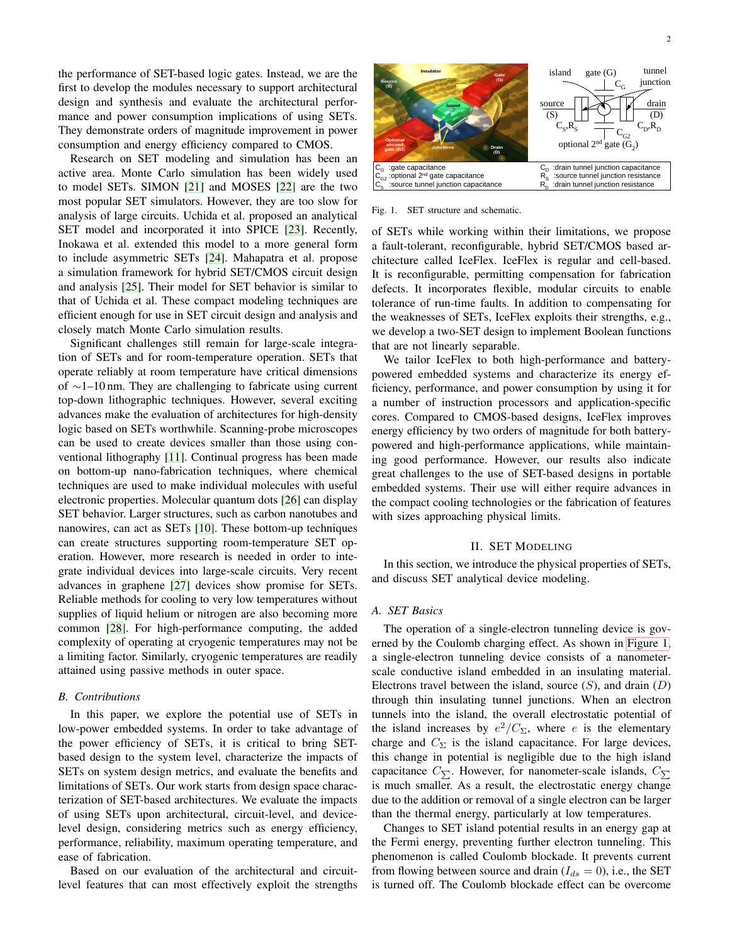the performance of SET-based logic gates. Instead, we are the first to develop the modules necessary to support architectural design and synthesis and evaluate the architectural performance and power consumption implications of using SETs. They demonstrate orders of magnitude improvement in power consumption and energy efficiency compared to CMOS.

Research on SET modeling and simulation has been an active area. Monte Carlo simulation has been widely used to model SETs. SIMON [\[21\]](#page-12-15) and MOSES [\[22\]](#page-12-16) are the two most popular SET simulators. However, they are too slow for analysis of large circuits. Uchida et al. proposed an analytical SET model and incorporated it into SPICE [\[23\]](#page-12-17). Recently, Inokawa et al. extended this model to a more general form to include asymmetric SETs [\[24\]](#page-12-18). Mahapatra et al. propose a simulation framework for hybrid SET/CMOS circuit design and analysis [\[25\]](#page-12-19). Their model for SET behavior is similar to that of Uchida et al. These compact modeling techniques are efficient enough for use in SET circuit design and analysis and closely match Monte Carlo simulation results.

Significant challenges still remain for large-scale integration of SETs and for room-temperature operation. SETs that operate reliably at room temperature have critical dimensions of ∼1–10 nm. They are challenging to fabricate using current top-down lithographic techniques. However, several exciting advances make the evaluation of architectures for high-density logic based on SETs worthwhile. Scanning-probe microscopes can be used to create devices smaller than those using conventional lithography [\[11\]](#page-12-9). Continual progress has been made on bottom-up nano-fabrication techniques, where chemical techniques are used to make individual molecules with useful electronic properties. Molecular quantum dots [\[26\]](#page-12-20) can display SET behavior. Larger structures, such as carbon nanotubes and nanowires, can act as SETs [\[10\]](#page-12-8). These bottom-up techniques can create structures supporting room-temperature SET operation. However, more research is needed in order to integrate individual devices into large-scale circuits. Very recent advances in graphene [\[27\]](#page-12-21) devices show promise for SETs. Reliable methods for cooling to very low temperatures without supplies of liquid helium or nitrogen are also becoming more common [\[28\]](#page-12-22). For high-performance computing, the added complexity of operating at cryogenic temperatures may not be a limiting factor. Similarly, cryogenic temperatures are readily attained using passive methods in outer space.

#### *B. Contributions*

In this paper, we explore the potential use of SETs in low-power embedded systems. In order to take advantage of the power efficiency of SETs, it is critical to bring SETbased design to the system level, characterize the impacts of SETs on system design metrics, and evaluate the benefits and limitations of SETs. Our work starts from design space characterization of SET-based architectures. We evaluate the impacts of using SETs upon architectural, circuit-level, and devicelevel design, considering metrics such as energy efficiency, performance, reliability, maximum operating temperature, and ease of fabrication.

Based on our evaluation of the architectural and circuitlevel features that can most effectively exploit the strengths



<span id="page-1-0"></span>Fig. 1. SET structure and schematic.

of SETs while working within their limitations, we propose a fault-tolerant, reconfigurable, hybrid SET/CMOS based architecture called IceFlex. IceFlex is regular and cell-based. It is reconfigurable, permitting compensation for fabrication defects. It incorporates flexible, modular circuits to enable tolerance of run-time faults. In addition to compensating for the weaknesses of SETs, IceFlex exploits their strengths, e.g., we develop a two-SET design to implement Boolean functions that are not linearly separable.

We tailor IceFlex to both high-performance and batterypowered embedded systems and characterize its energy efficiency, performance, and power consumption by using it for a number of instruction processors and application-specific cores. Compared to CMOS-based designs, IceFlex improves energy efficiency by two orders of magnitude for both batterypowered and high-performance applications, while maintaining good performance. However, our results also indicate great challenges to the use of SET-based designs in portable embedded systems. Their use will either require advances in the compact cooling technologies or the fabrication of features with sizes approaching physical limits.

#### II. SET MODELING

<span id="page-1-1"></span>In this section, we introduce the physical properties of SETs, and discuss SET analytical device modeling.

# *A. SET Basics*

The operation of a single-electron tunneling device is governed by the Coulomb charging effect. As shown in [Figure 1,](#page-1-0) a single-electron tunneling device consists of a nanometerscale conductive island embedded in an insulating material. Electrons travel between the island, source  $(S)$ , and drain  $(D)$ through thin insulating tunnel junctions. When an electron tunnels into the island, the overall electrostatic potential of the island increases by  $e^2/C_{\Sigma}$ , where e is the elementary charge and  $C_{\Sigma}$  is the island capacitance. For large devices, this change in potential is negligible due to the high island capacitance  $C_{\sum}$ . However, for nanometer-scale islands,  $C_{\sum}$ is much smaller. As a result, the electrostatic energy change due to the addition or removal of a single electron can be larger than the thermal energy, particularly at low temperatures.

Changes to SET island potential results in an energy gap at the Fermi energy, preventing further electron tunneling. This phenomenon is called Coulomb blockade. It prevents current from flowing between source and drain ( $I_{ds} = 0$ ), i.e., the SET is turned off. The Coulomb blockade effect can be overcome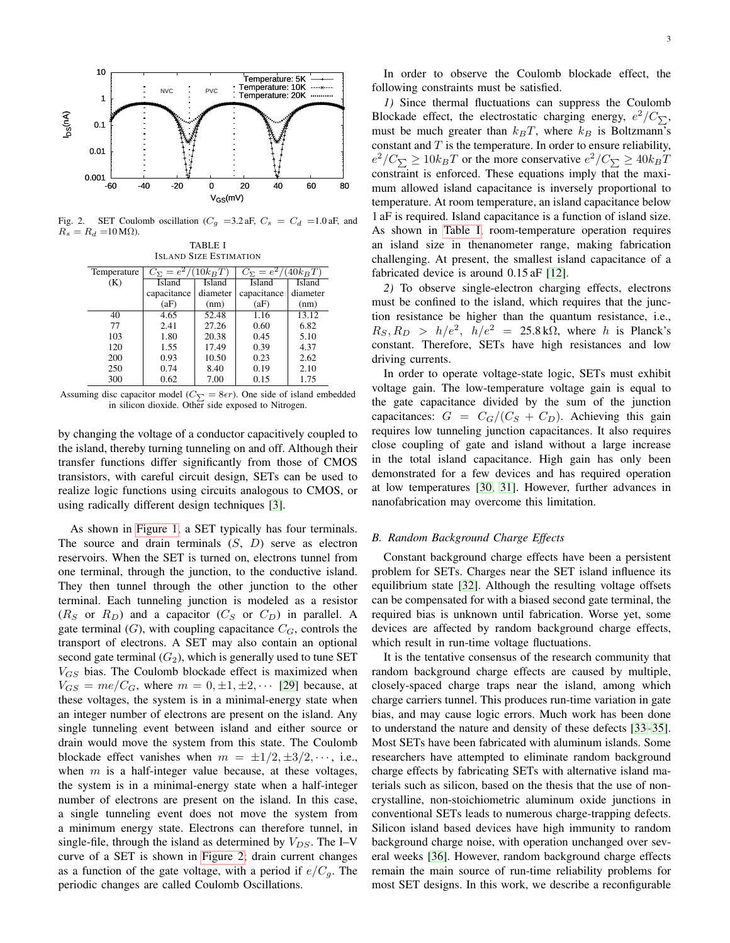

<span id="page-2-0"></span>Fig. 2. SET Coulomb oscillation ( $C_g$  =3.2 aF,  $C_s$  =  $C_d$  =1.0 aF, and  $R_s = R_d = 10 \,\text{M}\Omega$ ). TABLE I

<span id="page-2-1"></span>

| <b>ISLAND SIZE ESTIMATION</b> |             |                                                            |               |               |  |  |  |  |  |
|-------------------------------|-------------|------------------------------------------------------------|---------------|---------------|--|--|--|--|--|
| Temperature                   |             | $C_{\Sigma} = e^2/(10k_BT)$<br>$C_{\Sigma} = e^2/(40k_BT)$ |               |               |  |  |  |  |  |
| (K)                           | Island      | <b>Island</b>                                              | <b>Island</b> | <b>Island</b> |  |  |  |  |  |
|                               | capacitance | diameter                                                   | capacitance   | diameter      |  |  |  |  |  |
|                               | (aF)        | (nm)                                                       | (aF)          | (nm)          |  |  |  |  |  |
| 40                            | 4.65        | 52.48                                                      | 1.16          | 13.12         |  |  |  |  |  |
| 77                            | 2.41        | 27.26                                                      | 0.60          | 6.82          |  |  |  |  |  |
| 103                           | 1.80        | 20.38                                                      | 0.45          | 5.10          |  |  |  |  |  |
| 120                           | 1.55        | 17.49                                                      | 0.39          | 4.37          |  |  |  |  |  |
| 200                           | 0.93        | 10.50                                                      | 0.23          | 2.62          |  |  |  |  |  |
| 250                           | 0.74        | 8.40                                                       | 0.19          | 2.10          |  |  |  |  |  |
| 300                           | 0.62        | 7.00                                                       | 0.15          | 1.75          |  |  |  |  |  |

Assuming disc capacitor model ( $C_{\sum} = 8\epsilon r$ ). One side of island embedded in silicon dioxide. Other side exposed to Nitrogen.

by changing the voltage of a conductor capacitively coupled to the island, thereby turning tunneling on and off. Although their transfer functions differ significantly from those of CMOS transistors, with careful circuit design, SETs can be used to realize logic functions using circuits analogous to CMOS, or using radically different design techniques [\[3\]](#page-12-2).

As shown in [Figure 1,](#page-1-0) a SET typically has four terminals. The source and drain terminals  $(S, D)$  serve as electron reservoirs. When the SET is turned on, electrons tunnel from one terminal, through the junction, to the conductive island. They then tunnel through the other junction to the other terminal. Each tunneling junction is modeled as a resistor  $(R<sub>S</sub>$  or  $R<sub>D</sub>$ ) and a capacitor  $(C<sub>S</sub>$  or  $C<sub>D</sub>)$  in parallel. A gate terminal  $(G)$ , with coupling capacitance  $C_G$ , controls the transport of electrons. A SET may also contain an optional second gate terminal  $(G_2)$ , which is generally used to tune SET  $V_{GS}$  bias. The Coulomb blockade effect is maximized when  $V_{GS} = me/C_G$ , where  $m = 0, \pm 1, \pm 2, \cdots$  [\[29\]](#page-12-23) because, at these voltages, the system is in a minimal-energy state when an integer number of electrons are present on the island. Any single tunneling event between island and either source or drain would move the system from this state. The Coulomb blockade effect vanishes when  $m = \pm 1/2, \pm 3/2, \cdots$ , i.e., when  $m$  is a half-integer value because, at these voltages, the system is in a minimal-energy state when a half-integer number of electrons are present on the island. In this case, a single tunneling event does not move the system from a minimum energy state. Electrons can therefore tunnel, in single-file, through the island as determined by  $V_{DS}$ . The I–V curve of a SET is shown in [Figure 2;](#page-2-0) drain current changes as a function of the gate voltage, with a period if  $e/C_q$ . The periodic changes are called Coulomb Oscillations.

In order to observe the Coulomb blockade effect, the following constraints must be satisfied.

*1)* Since thermal fluctuations can suppress the Coulomb Blockade effect, the electrostatic charging energy,  $e^2/C_{\sum}$ , must be much greater than  $k_BT$ , where  $k_B$  is Boltzmann's constant and  $T$  is the temperature. In order to ensure reliability,  $e^2/C_{\sum} \ge 10k_BT$  or the more conservative  $e^2/C_{\sum} \ge 40k_BT$ constraint is enforced. These equations imply that the maximum allowed island capacitance is inversely proportional to temperature. At room temperature, an island capacitance below 1 aF is required. Island capacitance is a function of island size. As shown in [Table I,](#page-2-1) room-temperature operation requires an island size in thenanometer range, making fabrication challenging. At present, the smallest island capacitance of a fabricated device is around  $0.15$  aF [\[12\]](#page-12-24).

*2)* To observe single-electron charging effects, electrons must be confined to the island, which requires that the junction resistance be higher than the quantum resistance, i.e.,  $R_S, R_D > h/e^2, h/e^2 = 25.8 \text{ k}\Omega$ , where h is Planck's constant. Therefore, SETs have high resistances and low driving currents.

In order to operate voltage-state logic, SETs must exhibit voltage gain. The low-temperature voltage gain is equal to the gate capacitance divided by the sum of the junction capacitances:  $G = C_G/(C_S + C_D)$ . Achieving this gain requires low tunneling junction capacitances. It also requires close coupling of gate and island without a large increase in the total island capacitance. High gain has only been demonstrated for a few devices and has required operation at low temperatures [\[30,](#page-12-25) [31\]](#page-12-26). However, further advances in nanofabrication may overcome this limitation.

# <span id="page-2-2"></span>*B. Random Background Charge Effects*

Constant background charge effects have been a persistent problem for SETs. Charges near the SET island influence its equilibrium state [\[32\]](#page-12-27). Although the resulting voltage offsets can be compensated for with a biased second gate terminal, the required bias is unknown until fabrication. Worse yet, some devices are affected by random background charge effects, which result in run-time voltage fluctuations.

It is the tentative consensus of the research community that random background charge effects are caused by multiple, closely-spaced charge traps near the island, among which charge carriers tunnel. This produces run-time variation in gate bias, and may cause logic errors. Much work has been done to understand the nature and density of these defects [\[33](#page-13-0)[–35\]](#page-13-1). Most SETs have been fabricated with aluminum islands. Some researchers have attempted to eliminate random background charge effects by fabricating SETs with alternative island materials such as silicon, based on the thesis that the use of noncrystalline, non-stoichiometric aluminum oxide junctions in conventional SETs leads to numerous charge-trapping defects. Silicon island based devices have high immunity to random background charge noise, with operation unchanged over several weeks [\[36\]](#page-13-2). However, random background charge effects remain the main source of run-time reliability problems for most SET designs. In this work, we describe a reconfigurable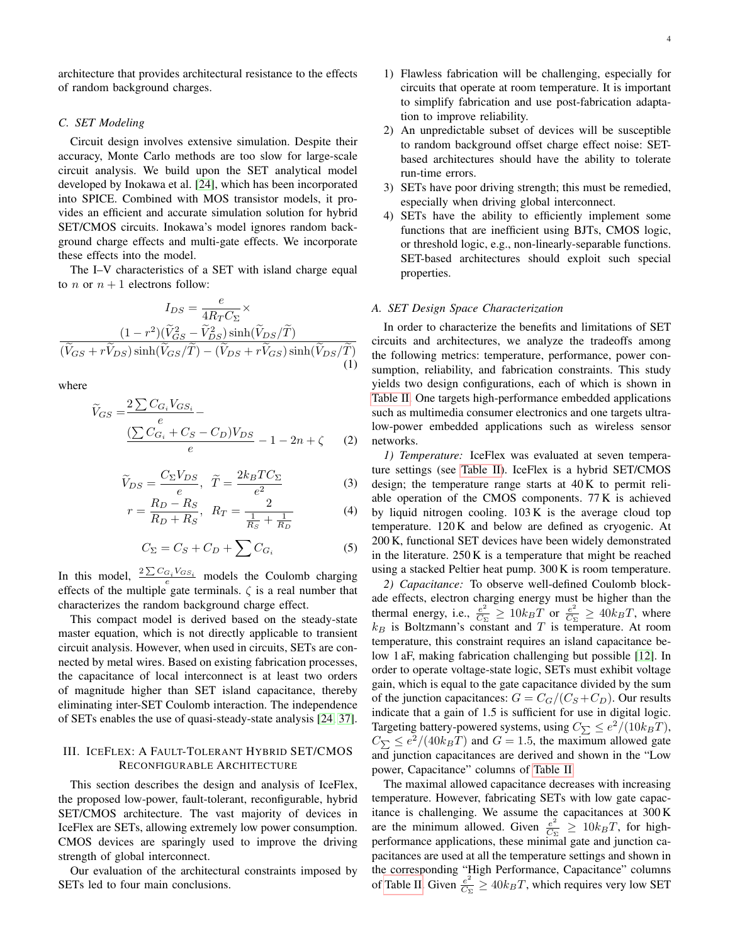architecture that provides architectural resistance to the effects of random background charges.

## <span id="page-3-1"></span>*C. SET Modeling*

Circuit design involves extensive simulation. Despite their accuracy, Monte Carlo methods are too slow for large-scale circuit analysis. We build upon the SET analytical model developed by Inokawa et al. [\[24\]](#page-12-18), which has been incorporated into SPICE. Combined with MOS transistor models, it provides an efficient and accurate simulation solution for hybrid SET/CMOS circuits. Inokawa's model ignores random background charge effects and multi-gate effects. We incorporate these effects into the model.

The I–V characteristics of a SET with island charge equal to *n* or  $n + 1$  electrons follow:

$$
I_{DS} = \frac{e}{4R_T C_{\Sigma}} \times \frac{(1 - r^2)(\tilde{V}_{GS}^2 - \tilde{V}_{DS}^2) \sinh(\tilde{V}_{DS}/\tilde{T})}{(\tilde{V}_{GS} + r\tilde{V}_{DS}) \sinh(\tilde{V}_{GS}/\tilde{T}) - (\tilde{V}_{DS} + r\tilde{V}_{GS}) \sinh(\tilde{V}_{DS}/\tilde{T})}
$$
\n(1)

where

$$
\widetilde{V}_{GS} = \frac{2 \sum C_{G_i} V_{GS_i}}{e} - \frac{\left(\sum C_{G_i} + C_S - C_D\right) V_{DS}}{e} - 1 - 2n + \zeta \tag{2}
$$

$$
\widetilde{V}_{DS} = \frac{C_{\Sigma} V_{DS}}{e}, \quad \widetilde{T} = \frac{2k_B T C_{\Sigma}}{e^2}
$$
 (3)

$$
r = \frac{R_D - R_S}{R_D + R_S}, \ R_T = \frac{2}{\frac{1}{R_S} + \frac{1}{R_D}}
$$
(4)

<span id="page-3-0"></span>
$$
C_{\Sigma} = C_S + C_D + \sum C_{G_i} \tag{5}
$$

In this model,  $\frac{2\sum C_{G_i} V_{GS_i}}{e}$  models the Coulomb charging effects of the multiple gate terminals.  $\zeta$  is a real number that characterizes the random background charge effect.

This compact model is derived based on the steady-state master equation, which is not directly applicable to transient circuit analysis. However, when used in circuits, SETs are connected by metal wires. Based on existing fabrication processes, the capacitance of local interconnect is at least two orders of magnitude higher than SET island capacitance, thereby eliminating inter-SET Coulomb interaction. The independence of SETs enables the use of quasi-steady-state analysis [\[24,](#page-12-18) [37\]](#page-13-3).

# III. ICEFLEX: A FAULT-TOLERANT HYBRID SET/CMOS RECONFIGURABLE ARCHITECTURE

This section describes the design and analysis of IceFlex, the proposed low-power, fault-tolerant, reconfigurable, hybrid SET/CMOS architecture. The vast majority of devices in IceFlex are SETs, allowing extremely low power consumption. CMOS devices are sparingly used to improve the driving strength of global interconnect.

Our evaluation of the architectural constraints imposed by SETs led to four main conclusions.

- 1) Flawless fabrication will be challenging, especially for circuits that operate at room temperature. It is important to simplify fabrication and use post-fabrication adaptation to improve reliability.
- 2) An unpredictable subset of devices will be susceptible to random background offset charge effect noise: SETbased architectures should have the ability to tolerate run-time errors.
- 3) SETs have poor driving strength; this must be remedied, especially when driving global interconnect.
- 4) SETs have the ability to efficiently implement some functions that are inefficient using BJTs, CMOS logic, or threshold logic, e.g., non-linearly-separable functions. SET-based architectures should exploit such special properties.

## *A. SET Design Space Characterization*

In order to characterize the benefits and limitations of SET circuits and architectures, we analyze the tradeoffs among the following metrics: temperature, performance, power consumption, reliability, and fabrication constraints. This study yields two design configurations, each of which is shown in [Table II.](#page-5-0) One targets high-performance embedded applications such as multimedia consumer electronics and one targets ultralow-power embedded applications such as wireless sensor networks.

*1) Temperature:* IceFlex was evaluated at seven temperature settings (see [Table II\)](#page-5-0). IceFlex is a hybrid SET/CMOS design; the temperature range starts at 40 K to permit reliable operation of the CMOS components. 77 K is achieved by liquid nitrogen cooling. 103 K is the average cloud top temperature. 120 K and below are defined as cryogenic. At 200 K, functional SET devices have been widely demonstrated in the literature. 250 K is a temperature that might be reached using a stacked Peltier heat pump. 300 K is room temperature.

*2) Capacitance:* To observe well-defined Coulomb blockade effects, electron charging energy must be higher than the thermal energy, i.e.,  $\frac{e^2}{C_s}$  $\frac{e^2}{C_{\Sigma}} \geq 10k_BT$  or  $\frac{e^2}{C_{\Sigma}}$  $\frac{e^2}{C_{\Sigma}} \ge 40k_BT$ , where  $k_B$  is Boltzmann's constant and T is temperature. At room temperature, this constraint requires an island capacitance below 1 aF, making fabrication challenging but possible [\[12\]](#page-12-24). In order to operate voltage-state logic, SETs must exhibit voltage gain, which is equal to the gate capacitance divided by the sum of the junction capacitances:  $G = C_G/(C_S + C_D)$ . Our results indicate that a gain of 1.5 is sufficient for use in digital logic. Targeting battery-powered systems, using  $C_{\sum} \leq e^2/(10k_BT)$ ,  $C_{\sum} \leq e^2/(40k_BT)$  and  $G = 1.5$ , the maximum allowed gate and junction capacitances are derived and shown in the "Low power, Capacitance" columns of [Table II.](#page-5-0)

The maximal allowed capacitance decreases with increasing temperature. However, fabricating SETs with low gate capacitance is challenging. We assume the capacitances at 300 K are the minimum allowed. Given  $\frac{e^2}{C_s}$  $\frac{e^2}{C_{\Sigma}} \ge 10k_BT$ , for highperformance applications, these minimal gate and junction capacitances are used at all the temperature settings and shown in the corresponding "High Performance, Capacitance" columns of [Table II.](#page-5-0) Given  $\frac{e^2}{Cs}$  $\frac{e^2}{C_{\Sigma}} \ge 40k_BT$ , which requires very low SET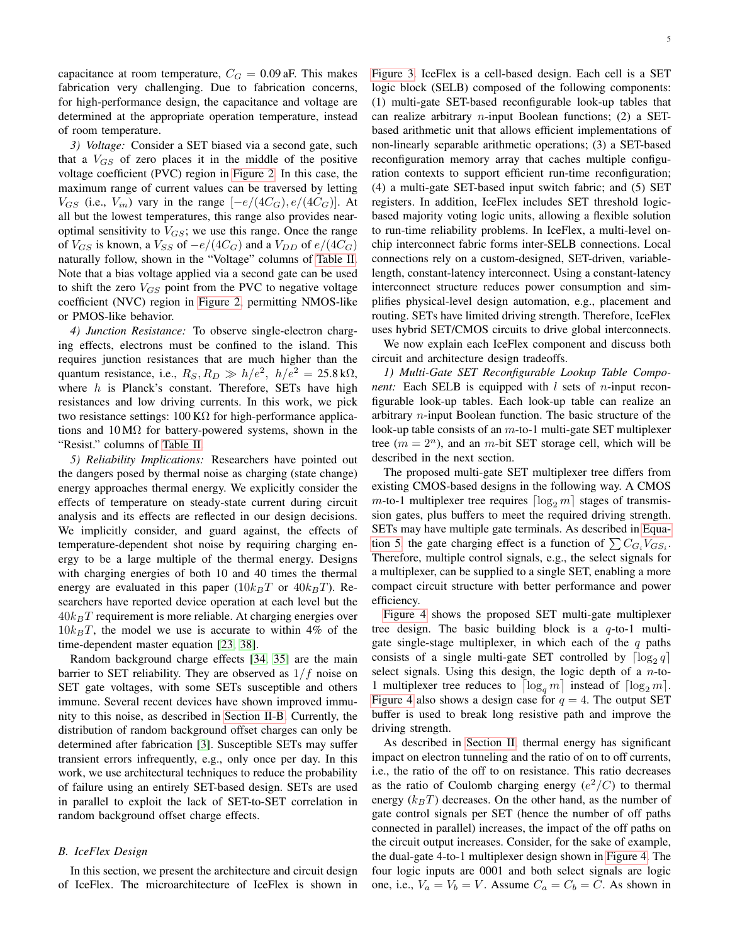capacitance at room temperature,  $C_G = 0.09$  aF. This makes fabrication very challenging. Due to fabrication concerns, for high-performance design, the capacitance and voltage are determined at the appropriate operation temperature, instead of room temperature.

*3) Voltage:* Consider a SET biased via a second gate, such that a  $V_{GS}$  of zero places it in the middle of the positive voltage coefficient (PVC) region in [Figure 2.](#page-2-0) In this case, the maximum range of current values can be traversed by letting  $V_{GS}$  (i.e.,  $V_{in}$ ) vary in the range  $[-e/(4C_G), e/(4C_G)]$ . At all but the lowest temperatures, this range also provides nearoptimal sensitivity to  $V_{GS}$ ; we use this range. Once the range of  $V_{GS}$  is known, a  $V_{SS}$  of  $-e/(4C_G)$  and a  $V_{DD}$  of  $e/(4C_G)$ naturally follow, shown in the "Voltage" columns of [Table II.](#page-5-0) Note that a bias voltage applied via a second gate can be used to shift the zero  $V_{GS}$  point from the PVC to negative voltage coefficient (NVC) region in [Figure 2,](#page-2-0) permitting NMOS-like or PMOS-like behavior.

*4) Junction Resistance:* To observe single-electron charging effects, electrons must be confined to the island. This requires junction resistances that are much higher than the quantum resistance, i.e.,  $R_S, R_D \gg h/e^2$ ,  $h/e^2 = 25.8 \text{ k}\Omega$ , where  $h$  is Planck's constant. Therefore, SETs have high resistances and low driving currents. In this work, we pick two resistance settings:  $100 \text{ K}\Omega$  for high-performance applications and  $10 \text{ M}\Omega$  for battery-powered systems, shown in the "Resist." columns of [Table II.](#page-5-0)

<span id="page-4-1"></span>*5) Reliability Implications:* Researchers have pointed out the dangers posed by thermal noise as charging (state change) energy approaches thermal energy. We explicitly consider the effects of temperature on steady-state current during circuit analysis and its effects are reflected in our design decisions. We implicitly consider, and guard against, the effects of temperature-dependent shot noise by requiring charging energy to be a large multiple of the thermal energy. Designs with charging energies of both 10 and 40 times the thermal energy are evaluated in this paper  $(10k_BT)$  or  $40k_BT$ ). Researchers have reported device operation at each level but the  $40k_BT$  requirement is more reliable. At charging energies over  $10k_BT$ , the model we use is accurate to within 4% of the time-dependent master equation [\[23,](#page-12-17) [38\]](#page-13-4).

Random background charge effects [\[34,](#page-13-5) [35\]](#page-13-1) are the main barrier to SET reliability. They are observed as  $1/f$  noise on SET gate voltages, with some SETs susceptible and others immune. Several recent devices have shown improved immunity to this noise, as described in [Section II-B.](#page-2-2) Currently, the distribution of random background offset charges can only be determined after fabrication [\[3\]](#page-12-2). Susceptible SETs may suffer transient errors infrequently, e.g., only once per day. In this work, we use architectural techniques to reduce the probability of failure using an entirely SET-based design. SETs are used in parallel to exploit the lack of SET-to-SET correlation in random background offset charge effects.

# *B. IceFlex Design*

In this section, we present the architecture and circuit design of IceFlex. The microarchitecture of IceFlex is shown in [Figure 3.](#page-5-1) IceFlex is a cell-based design. Each cell is a SET logic block (SELB) composed of the following components: (1) multi-gate SET-based reconfigurable look-up tables that can realize arbitrary *n*-input Boolean functions; (2) a SETbased arithmetic unit that allows efficient implementations of non-linearly separable arithmetic operations; (3) a SET-based reconfiguration memory array that caches multiple configuration contexts to support efficient run-time reconfiguration; (4) a multi-gate SET-based input switch fabric; and (5) SET registers. In addition, IceFlex includes SET threshold logicbased majority voting logic units, allowing a flexible solution to run-time reliability problems. In IceFlex, a multi-level onchip interconnect fabric forms inter-SELB connections. Local connections rely on a custom-designed, SET-driven, variablelength, constant-latency interconnect. Using a constant-latency interconnect structure reduces power consumption and simplifies physical-level design automation, e.g., placement and routing. SETs have limited driving strength. Therefore, IceFlex uses hybrid SET/CMOS circuits to drive global interconnects.

We now explain each IceFlex component and discuss both circuit and architecture design tradeoffs.

<span id="page-4-0"></span>*1) Multi-Gate SET Reconfigurable Lookup Table Component:* Each SELB is equipped with  $l$  sets of *n*-input reconfigurable look-up tables. Each look-up table can realize an arbitrary n-input Boolean function. The basic structure of the look-up table consists of an m-to-1 multi-gate SET multiplexer tree  $(m = 2^n)$ , and an *m*-bit SET storage cell, which will be described in the next section.

The proposed multi-gate SET multiplexer tree differs from existing CMOS-based designs in the following way. A CMOS  $m$ -to-1 multiplexer tree requires  $\lceil \log_2 m \rceil$  stages of transmission gates, plus buffers to meet the required driving strength. SETs may have multiple gate terminals. As described in [Equa](#page-3-0)[tion 5,](#page-3-0) the gate charging effect is a function of  $\sum C_{G_i} V_{GS_i}$ . Therefore, multiple control signals, e.g., the select signals for a multiplexer, can be supplied to a single SET, enabling a more compact circuit structure with better performance and power efficiency.

[Figure 4](#page-5-2) shows the proposed SET multi-gate multiplexer tree design. The basic building block is a  $q$ -to-1 multigate single-stage multiplexer, in which each of the  $q$  paths consists of a single multi-gate SET controlled by  $\lceil \log_2 q \rceil$ select signals. Using this design, the logic depth of a  $n$ -to-1 multiplexer tree reduces to  $\lceil \log_q m \rceil$  instead of  $\lceil \log_2 m \rceil$ . [Figure 4](#page-5-2) also shows a design case for  $q = 4$ . The output SET buffer is used to break long resistive path and improve the driving strength.

As described in [Section II,](#page-1-1) thermal energy has significant impact on electron tunneling and the ratio of on to off currents, i.e., the ratio of the off to on resistance. This ratio decreases as the ratio of Coulomb charging energy  $(e^2/C)$  to thermal energy  $(k_BT)$  decreases. On the other hand, as the number of gate control signals per SET (hence the number of off paths connected in parallel) increases, the impact of the off paths on the circuit output increases. Consider, for the sake of example, the dual-gate 4-to-1 multiplexer design shown in [Figure 4.](#page-5-2) The four logic inputs are 0001 and both select signals are logic one, i.e.,  $V_a = V_b = V$ . Assume  $C_a = C_b = C$ . As shown in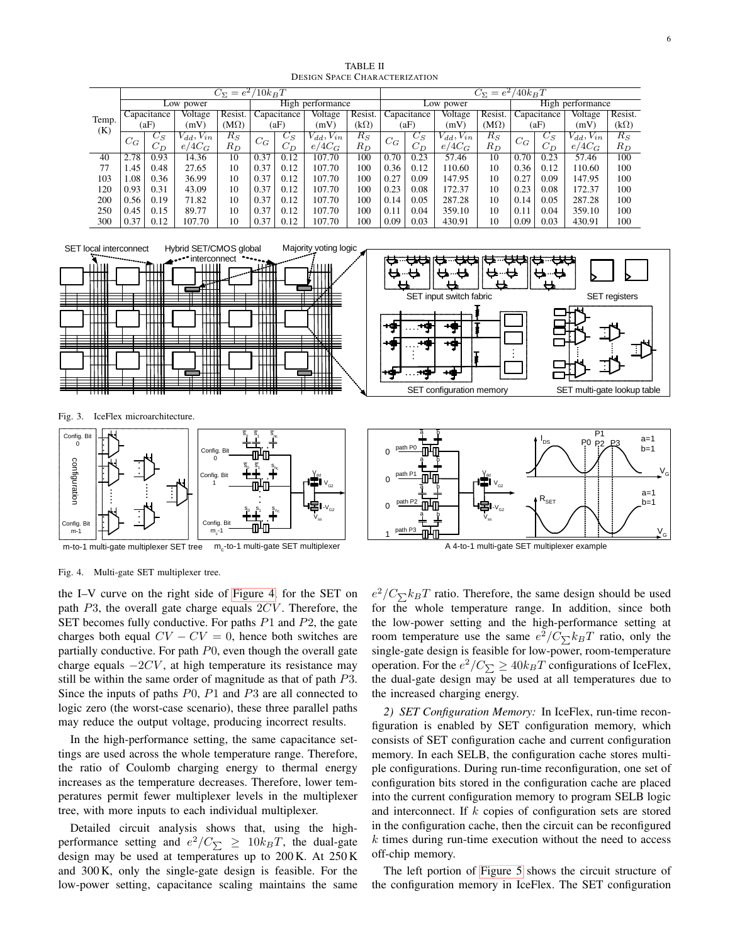<span id="page-5-0"></span>

|       |             |         |               | $C_{\Sigma}=e^2$ | $/10k_BT$ |             |                  |         |             |       |                  |             | $C_{\Sigma} = e^2/40k_BT$ |       |                      |             |  |  |
|-------|-------------|---------|---------------|------------------|-----------|-------------|------------------|---------|-------------|-------|------------------|-------------|---------------------------|-------|----------------------|-------------|--|--|
|       |             |         | Low power     |                  |           |             | High performance |         |             |       | Low power        |             |                           |       | High performance     |             |  |  |
|       | Capacitance |         | Voltage       | Resist.          |           | Capacitance | Voltage          | Resist. | Capacitance |       | Voltage          | Resist.     | Capacitance               |       | Voltage              | Resist.     |  |  |
| Temp. | (aF)        |         | (mV)          | $(M\Omega)$      |           | (aF)        | (mV)             | (kΩ)    |             | (aF)  | (mV)             | $(M\Omega)$ | (aF)                      |       | (mV)                 | $(k\Omega)$ |  |  |
| (K)   | $C_G$       | $C_{S}$ | $d_d, V_{in}$ | $R_S$            | $C_G$     | $C_S$       | $d_d, V_{in}$    | $R_S$   | $C_G$       | $C_S$ | $V_{dd}, V_{in}$ | $R_S$       | $C_G$                     | $C_S$ | $V_{in}$<br>$V_{dd}$ | $R_S$       |  |  |
|       |             | $C_D$   | $e/4C_G$      | $R_D$            |           | UД          | $e/4C_G$         | $R_D$   |             | $C_D$ | $e/4C_G$         | $R_D$       |                           | $C_D$ | $e/4C_G$             | $R_D$       |  |  |
| 40    | 2.78        | 0.93    | 14.36         | 10               | 0.37      | 0.12        | 107.70           | 100     | 0.70        | 0.23  | 57.46            | 10          | 0.70                      | 0.23  | 57.46                | 100         |  |  |
| 77    | 1.45        | 0.48    | 27.65         | 10               | 0.37      | 0.12        | 107.70           | 100     | 0.36        | 0.12  | 110.60           | 10          | 0.36                      | 0.12  | 110.60               | 100         |  |  |
| 103   | 0.08        | 0.36    | 36.99         | 10               | 0.37      | 0.12        | 107.70           | 100     | 0.27        | 0.09  | 147.95           | 10          | 0.27                      | 0.09  | 147.95               | 100         |  |  |
| 120   | 0.93        | 0.31    | 43.09         | 10               | 0.37      | 0.12        | 107.70           | 100     | 0.23        | 0.08  | 172.37           | 10          | 0.23                      | 0.08  | 172.37               | 100         |  |  |
| 200   | 0.56        | 0.19    | 71.82         | 10               | 0.37      | 0.12        | 107.70           | 100     | 0.14        | 0.05  | 287.28           | 10          | 0.14                      | 0.05  | 287.28               | 100         |  |  |
| 250   | 0.45        | 0.15    | 89.77         | 10               | 0.37      | 0.12        | 107.70           | 100     | 0.11        | 0.04  | 359.10           | 10          | 0.11                      | 0.04  | 359.10               | 100         |  |  |
| 300   | 0.37        | 0.12    | 107.70        | 10               | 0.37      | 0.12        | 107.70           | 100     | 0.09        | 0.03  | 430.91           | 10          | 0.09                      | 0.03  | 430.91               | 100         |  |  |

TABLE II DESIGN SPACE CHARACTERIZATION



1

<span id="page-5-1"></span> $m_{c}$ -1

m-to-1 multi-gate multiplexer SET tree m<sub>c</sub>-to-1 multi-gate SET multiplexer



<span id="page-5-2"></span>Fig. 4. Multi-gate SET multiplexer tree.

the I–V curve on the right side of [Figure 4,](#page-5-2) for the SET on path  $P3$ , the overall gate charge equals  $2CV$ . Therefore, the SET becomes fully conductive. For paths  $P1$  and  $P2$ , the gate charges both equal  $CV - CV = 0$ , hence both switches are partially conductive. For path  $P<sub>0</sub>$ , even though the overall gate charge equals  $-2CV$ , at high temperature its resistance may still be within the same order of magnitude as that of path P3. Since the inputs of paths  $P<sub>0</sub>, P<sub>1</sub>$  and  $P<sub>3</sub>$  are all connected to logic zero (the worst-case scenario), these three parallel paths may reduce the output voltage, producing incorrect results.

In the high-performance setting, the same capacitance settings are used across the whole temperature range. Therefore, the ratio of Coulomb charging energy to thermal energy increases as the temperature decreases. Therefore, lower temperatures permit fewer multiplexer levels in the multiplexer tree, with more inputs to each individual multiplexer.

Detailed circuit analysis shows that, using the highperformance setting and  $e^2/C_{\sum} \ge 10k_BT$ , the dual-gate design may be used at temperatures up to 200 K. At 250 K and 300 K, only the single-gate design is feasible. For the low-power setting, capacitance scaling maintains the same

 $e^2/C_{\sum}k_BT$  ratio. Therefore, the same design should be used for the whole temperature range. In addition, since both the low-power setting and the high-performance setting at room temperature use the same  $e^{2}/C_{\sum k_{B}T}$  ratio, only the single-gate design is feasible for low-power, room-temperature operation. For the  $e^2/C_{\sum} \ge 40k_BT$  configurations of IceFlex, the dual-gate design may be used at all temperatures due to the increased charging energy.

*2) SET Configuration Memory:* In IceFlex, run-time reconfiguration is enabled by SET configuration memory, which consists of SET configuration cache and current configuration memory. In each SELB, the configuration cache stores multiple configurations. During run-time reconfiguration, one set of configuration bits stored in the configuration cache are placed into the current configuration memory to program SELB logic and interconnect. If  $k$  copies of configuration sets are stored in the configuration cache, then the circuit can be reconfigured  $k$  times during run-time execution without the need to access off-chip memory.

The left portion of [Figure 5](#page-7-0) shows the circuit structure of the configuration memory in IceFlex. The SET configuration

 $V_{\texttt{G}}$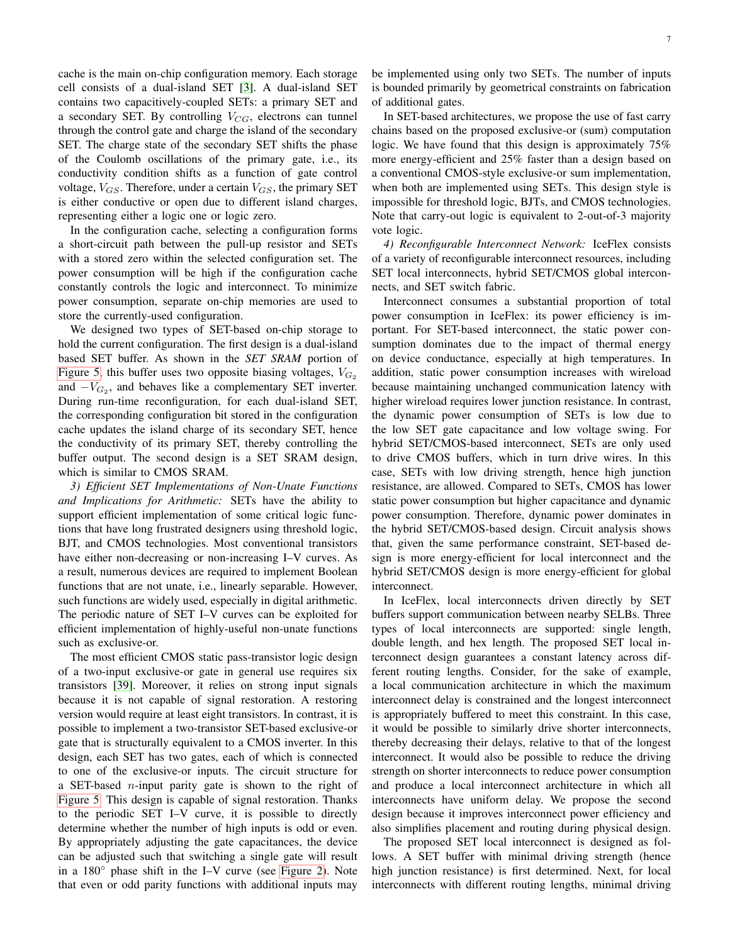cache is the main on-chip configuration memory. Each storage cell consists of a dual-island SET [\[3\]](#page-12-2). A dual-island SET contains two capacitively-coupled SETs: a primary SET and a secondary SET. By controlling  $V_{CG}$ , electrons can tunnel through the control gate and charge the island of the secondary SET. The charge state of the secondary SET shifts the phase of the Coulomb oscillations of the primary gate, i.e., its conductivity condition shifts as a function of gate control voltage,  $V_{GS}$ . Therefore, under a certain  $V_{GS}$ , the primary SET is either conductive or open due to different island charges, representing either a logic one or logic zero.

In the configuration cache, selecting a configuration forms a short-circuit path between the pull-up resistor and SETs with a stored zero within the selected configuration set. The power consumption will be high if the configuration cache constantly controls the logic and interconnect. To minimize power consumption, separate on-chip memories are used to store the currently-used configuration.

We designed two types of SET-based on-chip storage to hold the current configuration. The first design is a dual-island based SET buffer. As shown in the *SET SRAM* portion of [Figure 5,](#page-7-0) this buffer uses two opposite biasing voltages,  $V_{G_2}$ and  $-V_{G_2}$ , and behaves like a complementary SET inverter. During run-time reconfiguration, for each dual-island SET, the corresponding configuration bit stored in the configuration cache updates the island charge of its secondary SET, hence the conductivity of its primary SET, thereby controlling the buffer output. The second design is a SET SRAM design, which is similar to CMOS SRAM.

<span id="page-6-0"></span>*3) Efficient SET Implementations of Non-Unate Functions and Implications for Arithmetic:* SETs have the ability to support efficient implementation of some critical logic functions that have long frustrated designers using threshold logic, BJT, and CMOS technologies. Most conventional transistors have either non-decreasing or non-increasing I–V curves. As a result, numerous devices are required to implement Boolean functions that are not unate, i.e., linearly separable. However, such functions are widely used, especially in digital arithmetic. The periodic nature of SET I–V curves can be exploited for efficient implementation of highly-useful non-unate functions such as exclusive-or.

The most efficient CMOS static pass-transistor logic design of a two-input exclusive-or gate in general use requires six transistors [\[39\]](#page-13-6). Moreover, it relies on strong input signals because it is not capable of signal restoration. A restoring version would require at least eight transistors. In contrast, it is possible to implement a two-transistor SET-based exclusive-or gate that is structurally equivalent to a CMOS inverter. In this design, each SET has two gates, each of which is connected to one of the exclusive-or inputs. The circuit structure for a SET-based *n*-input parity gate is shown to the right of [Figure 5.](#page-7-0) This design is capable of signal restoration. Thanks to the periodic SET I–V curve, it is possible to directly determine whether the number of high inputs is odd or even. By appropriately adjusting the gate capacitances, the device can be adjusted such that switching a single gate will result in a 180◦ phase shift in the I–V curve (see [Figure 2\)](#page-2-0). Note that even or odd parity functions with additional inputs may be implemented using only two SETs. The number of inputs is bounded primarily by geometrical constraints on fabrication of additional gates.

In SET-based architectures, we propose the use of fast carry chains based on the proposed exclusive-or (sum) computation logic. We have found that this design is approximately 75% more energy-efficient and 25% faster than a design based on a conventional CMOS-style exclusive-or sum implementation, when both are implemented using SETs. This design style is impossible for threshold logic, BJTs, and CMOS technologies. Note that carry-out logic is equivalent to 2-out-of-3 majority vote logic.

*4) Reconfigurable Interconnect Network:* IceFlex consists of a variety of reconfigurable interconnect resources, including SET local interconnects, hybrid SET/CMOS global interconnects, and SET switch fabric.

Interconnect consumes a substantial proportion of total power consumption in IceFlex: its power efficiency is important. For SET-based interconnect, the static power consumption dominates due to the impact of thermal energy on device conductance, especially at high temperatures. In addition, static power consumption increases with wireload because maintaining unchanged communication latency with higher wireload requires lower junction resistance. In contrast, the dynamic power consumption of SETs is low due to the low SET gate capacitance and low voltage swing. For hybrid SET/CMOS-based interconnect, SETs are only used to drive CMOS buffers, which in turn drive wires. In this case, SETs with low driving strength, hence high junction resistance, are allowed. Compared to SETs, CMOS has lower static power consumption but higher capacitance and dynamic power consumption. Therefore, dynamic power dominates in the hybrid SET/CMOS-based design. Circuit analysis shows that, given the same performance constraint, SET-based design is more energy-efficient for local interconnect and the hybrid SET/CMOS design is more energy-efficient for global interconnect.

In IceFlex, local interconnects driven directly by SET buffers support communication between nearby SELBs. Three types of local interconnects are supported: single length, double length, and hex length. The proposed SET local interconnect design guarantees a constant latency across different routing lengths. Consider, for the sake of example, a local communication architecture in which the maximum interconnect delay is constrained and the longest interconnect is appropriately buffered to meet this constraint. In this case, it would be possible to similarly drive shorter interconnects, thereby decreasing their delays, relative to that of the longest interconnect. It would also be possible to reduce the driving strength on shorter interconnects to reduce power consumption and produce a local interconnect architecture in which all interconnects have uniform delay. We propose the second design because it improves interconnect power efficiency and also simplifies placement and routing during physical design.

The proposed SET local interconnect is designed as follows. A SET buffer with minimal driving strength (hence high junction resistance) is first determined. Next, for local interconnects with different routing lengths, minimal driving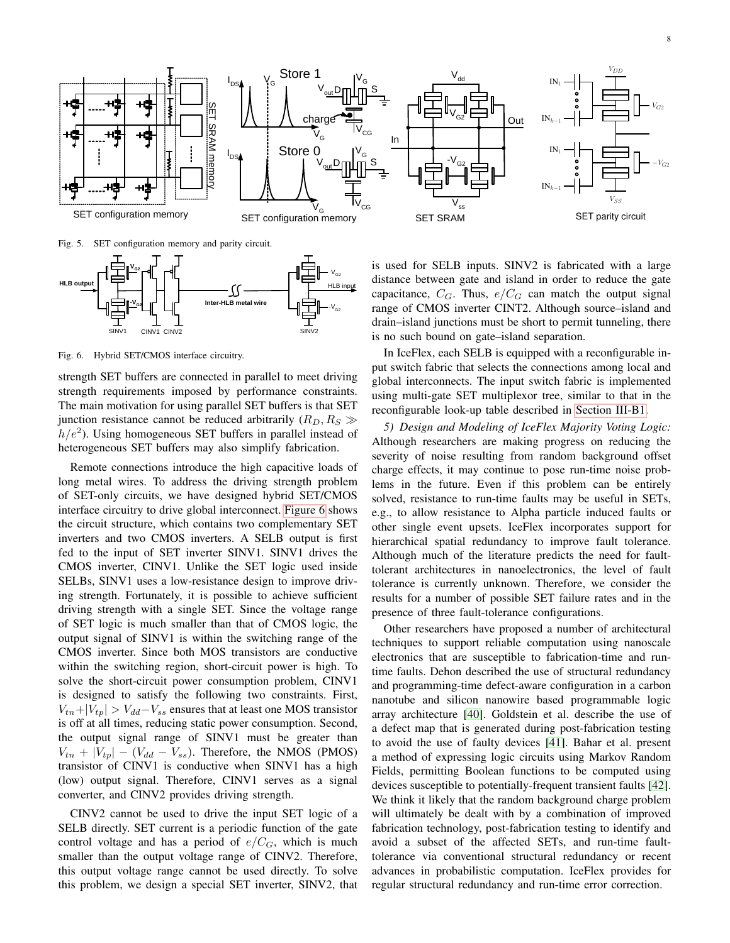

<span id="page-7-0"></span>Fig. 5. SET configuration memory and parity circuit.



<span id="page-7-1"></span>Fig. 6. Hybrid SET/CMOS interface circuitry.

strength SET buffers are connected in parallel to meet driving strength requirements imposed by performance constraints. The main motivation for using parallel SET buffers is that SET junction resistance cannot be reduced arbitrarily ( $R_D, R_S \gg$  $h/e<sup>2</sup>$ ). Using homogeneous SET buffers in parallel instead of heterogeneous SET buffers may also simplify fabrication.

Remote connections introduce the high capacitive loads of long metal wires. To address the driving strength problem of SET-only circuits, we have designed hybrid SET/CMOS interface circuitry to drive global interconnect. [Figure 6](#page-7-1) shows the circuit structure, which contains two complementary SET inverters and two CMOS inverters. A SELB output is first fed to the input of SET inverter SINV1. SINV1 drives the CMOS inverter, CINV1. Unlike the SET logic used inside SELBs, SINV1 uses a low-resistance design to improve driving strength. Fortunately, it is possible to achieve sufficient driving strength with a single SET. Since the voltage range of SET logic is much smaller than that of CMOS logic, the output signal of SINV1 is within the switching range of the CMOS inverter. Since both MOS transistors are conductive within the switching region, short-circuit power is high. To solve the short-circuit power consumption problem, CINV1 is designed to satisfy the following two constraints. First,  $V_{tn}+|V_{tp}| > V_{dd}-V_{ss}$  ensures that at least one MOS transistor is off at all times, reducing static power consumption. Second, the output signal range of SINV1 must be greater than  $V_{tn} + |V_{tp}| - (V_{dd} - V_{ss})$ . Therefore, the NMOS (PMOS) transistor of CINV1 is conductive when SINV1 has a high (low) output signal. Therefore, CINV1 serves as a signal converter, and CINV2 provides driving strength.

CINV2 cannot be used to drive the input SET logic of a SELB directly. SET current is a periodic function of the gate control voltage and has a period of  $e/C_G$ , which is much smaller than the output voltage range of CINV2. Therefore, this output voltage range cannot be used directly. To solve this problem, we design a special SET inverter, SINV2, that

is used for SELB inputs. SINV2 is fabricated with a large distance between gate and island in order to reduce the gate capacitance,  $C_G$ . Thus,  $e/C_G$  can match the output signal range of CMOS inverter CINT2. Although source–island and drain–island junctions must be short to permit tunneling, there is no such bound on gate–island separation.

In IceFlex, each SELB is equipped with a reconfigurable input switch fabric that selects the connections among local and global interconnects. The input switch fabric is implemented using multi-gate SET multiplexor tree, similar to that in the reconfigurable look-up table described in [Section III-B1.](#page-4-0)

*5) Design and Modeling of IceFlex Majority Voting Logic:* Although researchers are making progress on reducing the severity of noise resulting from random background offset charge effects, it may continue to pose run-time noise problems in the future. Even if this problem can be entirely solved, resistance to run-time faults may be useful in SETs, e.g., to allow resistance to Alpha particle induced faults or other single event upsets. IceFlex incorporates support for hierarchical spatial redundancy to improve fault tolerance. Although much of the literature predicts the need for faulttolerant architectures in nanoelectronics, the level of fault tolerance is currently unknown. Therefore, we consider the results for a number of possible SET failure rates and in the presence of three fault-tolerance configurations.

Other researchers have proposed a number of architectural techniques to support reliable computation using nanoscale electronics that are susceptible to fabrication-time and runtime faults. Dehon described the use of structural redundancy and programming-time defect-aware configuration in a carbon nanotube and silicon nanowire based programmable logic array architecture [\[40\]](#page-13-7). Goldstein et al. describe the use of a defect map that is generated during post-fabrication testing to avoid the use of faulty devices [\[41\]](#page-13-8). Bahar et al. present a method of expressing logic circuits using Markov Random Fields, permitting Boolean functions to be computed using devices susceptible to potentially-frequent transient faults [\[42\]](#page-13-9). We think it likely that the random background charge problem will ultimately be dealt with by a combination of improved fabrication technology, post-fabrication testing to identify and avoid a subset of the affected SETs, and run-time faulttolerance via conventional structural redundancy or recent advances in probabilistic computation. IceFlex provides for regular structural redundancy and run-time error correction.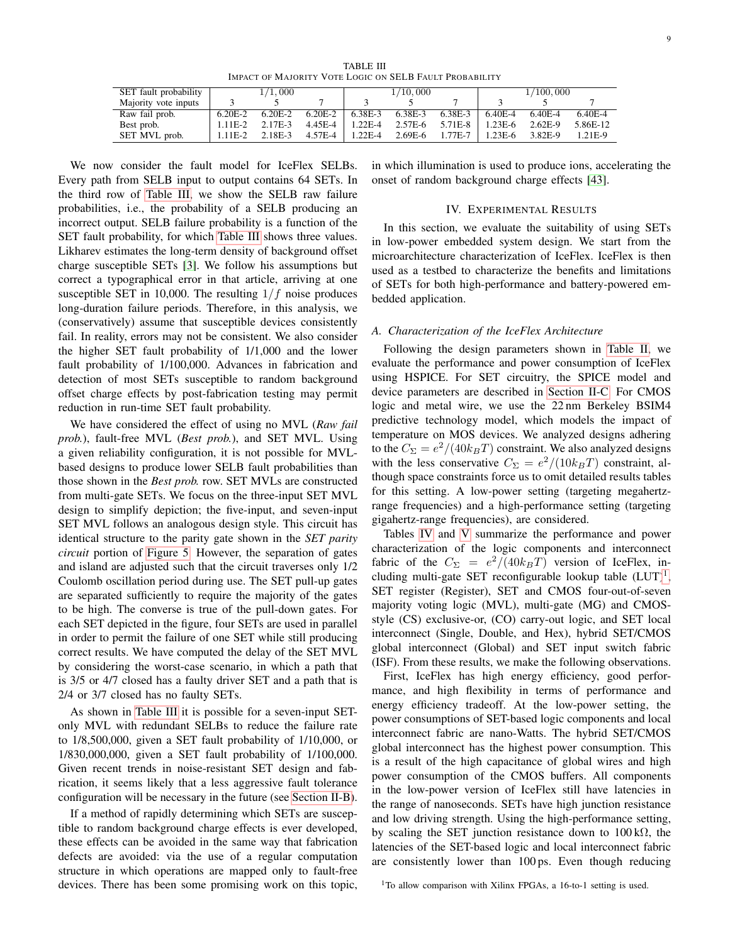| TABLE III                                               |  |
|---------------------------------------------------------|--|
| IMPACT OF MAJORITY VOTE LOGIC ON SELB FAULT PROBABILITY |  |

<span id="page-8-0"></span>

| SET fault probability |            | 1/1,000   |           |             | 1/10,000  |         | 1/100,000 |           |           |  |
|-----------------------|------------|-----------|-----------|-------------|-----------|---------|-----------|-----------|-----------|--|
| Majority vote inputs  |            |           |           |             |           |         |           |           |           |  |
| Raw fail prob.        | $6.20E-2$  | $6.20E-2$ | $6.20E-2$ | 6.38E-3     | 6.38E-3   | 6.38E-3 | 6.40E-4   | 6.40E-4   | $6.40E-4$ |  |
| Best prob.            | $1.11E-2$  | 2.17E-3   | 4.45E-4   | $1.22E - 4$ | 2.57E-6   | 5.71E-8 | 1.23E-6   | $2.62E-9$ | 5.86E-12  |  |
| SET MVL prob.         | $1.11E-2.$ | 2.18E-3   | 4.57E-4   | 1.22E-4     | $2.69E-6$ | 1.77E-7 | 1.23E-6   | 3.82E-9   | 1.21E-9   |  |

We now consider the fault model for IceFlex SELBs. Every path from SELB input to output contains 64 SETs. In the third row of [Table III,](#page-8-0) we show the SELB raw failure probabilities, i.e., the probability of a SELB producing an incorrect output. SELB failure probability is a function of the SET fault probability, for which [Table III](#page-8-0) shows three values. Likharev estimates the long-term density of background offset charge susceptible SETs [\[3\]](#page-12-2). We follow his assumptions but correct a typographical error in that article, arriving at one susceptible SET in 10,000. The resulting  $1/f$  noise produces long-duration failure periods. Therefore, in this analysis, we (conservatively) assume that susceptible devices consistently fail. In reality, errors may not be consistent. We also consider the higher SET fault probability of 1/1,000 and the lower fault probability of 1/100,000. Advances in fabrication and detection of most SETs susceptible to random background offset charge effects by post-fabrication testing may permit reduction in run-time SET fault probability.

We have considered the effect of using no MVL (*Raw fail prob.*), fault-free MVL (*Best prob.*), and SET MVL. Using a given reliability configuration, it is not possible for MVLbased designs to produce lower SELB fault probabilities than those shown in the *Best prob.* row. SET MVLs are constructed from multi-gate SETs. We focus on the three-input SET MVL design to simplify depiction; the five-input, and seven-input SET MVL follows an analogous design style. This circuit has identical structure to the parity gate shown in the *SET parity circuit* portion of [Figure 5.](#page-7-0) However, the separation of gates and island are adjusted such that the circuit traverses only 1/2 Coulomb oscillation period during use. The SET pull-up gates are separated sufficiently to require the majority of the gates to be high. The converse is true of the pull-down gates. For each SET depicted in the figure, four SETs are used in parallel in order to permit the failure of one SET while still producing correct results. We have computed the delay of the SET MVL by considering the worst-case scenario, in which a path that is 3/5 or 4/7 closed has a faulty driver SET and a path that is 2/4 or 3/7 closed has no faulty SETs.

As shown in [Table III](#page-8-0) it is possible for a seven-input SETonly MVL with redundant SELBs to reduce the failure rate to 1/8,500,000, given a SET fault probability of 1/10,000, or 1/830,000,000, given a SET fault probability of 1/100,000. Given recent trends in noise-resistant SET design and fabrication, it seems likely that a less aggressive fault tolerance configuration will be necessary in the future (see [Section II-B\)](#page-2-2).

If a method of rapidly determining which SETs are susceptible to random background charge effects is ever developed, these effects can be avoided in the same way that fabrication defects are avoided: via the use of a regular computation structure in which operations are mapped only to fault-free devices. There has been some promising work on this topic, in which illumination is used to produce ions, accelerating the onset of random background charge effects [\[43\]](#page-13-10).

#### IV. EXPERIMENTAL RESULTS

In this section, we evaluate the suitability of using SETs in low-power embedded system design. We start from the microarchitecture characterization of IceFlex. IceFlex is then used as a testbed to characterize the benefits and limitations of SETs for both high-performance and battery-powered embedded application.

#### <span id="page-8-2"></span>*A. Characterization of the IceFlex Architecture*

Following the design parameters shown in [Table II,](#page-5-0) we evaluate the performance and power consumption of IceFlex using HSPICE. For SET circuitry, the SPICE model and device parameters are described in [Section II-C.](#page-3-1) For CMOS logic and metal wire, we use the 22 nm Berkeley BSIM4 predictive technology model, which models the impact of temperature on MOS devices. We analyzed designs adhering to the  $C_{\Sigma} = e^2/(40k_BT)$  constraint. We also analyzed designs with the less conservative  $C_{\Sigma} = e^2/(10k_BT)$  constraint, although space constraints force us to omit detailed results tables for this setting. A low-power setting (targeting megahertzrange frequencies) and a high-performance setting (targeting gigahertz-range frequencies), are considered.

Tables [IV](#page-9-0) and [V](#page-9-1) summarize the performance and power characterization of the logic components and interconnect fabric of the  $C_{\Sigma} = e^2/(40k_BT)$  version of IceFlex, including multi-gate SET reconfigurable lookup table  $(LUT)^1$  $(LUT)^1$ , SET register (Register), SET and CMOS four-out-of-seven majority voting logic (MVL), multi-gate (MG) and CMOSstyle (CS) exclusive-or, (CO) carry-out logic, and SET local interconnect (Single, Double, and Hex), hybrid SET/CMOS global interconnect (Global) and SET input switch fabric (ISF). From these results, we make the following observations.

<span id="page-8-1"></span>First, IceFlex has high energy efficiency, good performance, and high flexibility in terms of performance and energy efficiency tradeoff. At the low-power setting, the power consumptions of SET-based logic components and local interconnect fabric are nano-Watts. The hybrid SET/CMOS global interconnect has the highest power consumption. This is a result of the high capacitance of global wires and high power consumption of the CMOS buffers. All components in the low-power version of IceFlex still have latencies in the range of nanoseconds. SETs have high junction resistance and low driving strength. Using the high-performance setting, by scaling the SET junction resistance down to  $100 \text{ k}\Omega$ , the latencies of the SET-based logic and local interconnect fabric are consistently lower than 100 ps. Even though reducing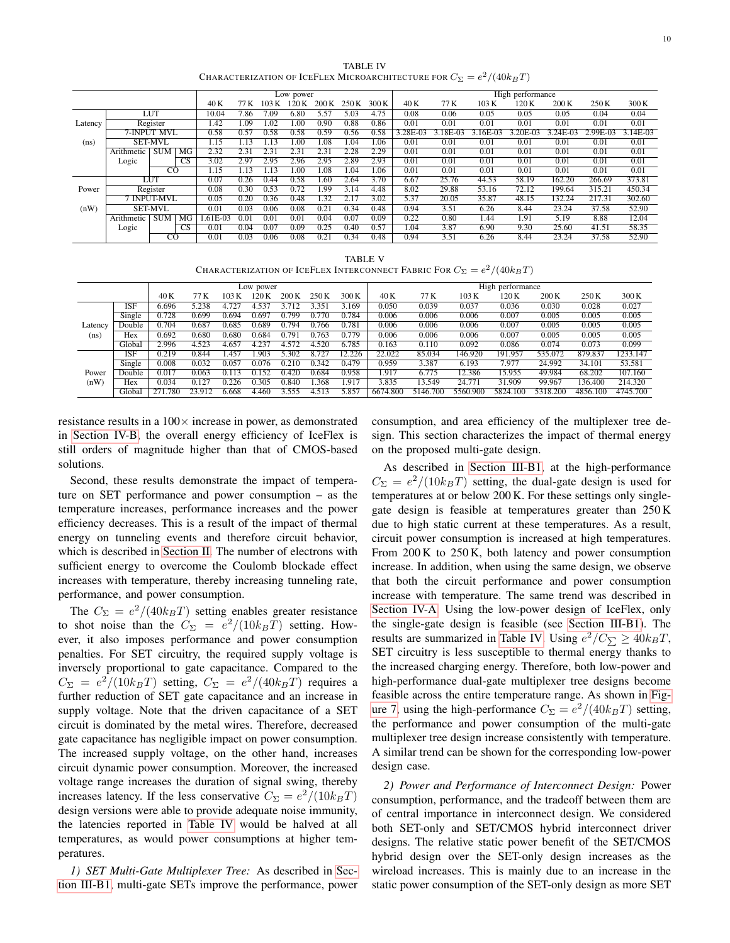TABLE IV CHARACTERIZATION OF ICEFLEX MICROARCHITECTURE FOR  $C_\Sigma = e^2/(40 k_B T)$ 

<span id="page-9-0"></span>

|         |             |                |           |                  | Low power     |       |                 |                  |       |        |          | High performance |           |          |          |          |            |
|---------|-------------|----------------|-----------|------------------|---------------|-------|-----------------|------------------|-------|--------|----------|------------------|-----------|----------|----------|----------|------------|
|         |             |                |           | 40 K             | 77 K          | 103 K |                 | 200 K            | 250 K | 300K   | 40 K     | 77 K             | 103K      | 120K     | 200 K    | 250 K    | 300 K      |
|         |             | <b>LUT</b>     |           | 10.04            | 7.86          | 7.09  | 6.80            | 5.57             | 5.03  | 4.75   | 0.08     | 0.06             | 0.05      | 0.05     | 0.05     | 0.04     | 0.04       |
| Latency |             | Register       |           | .42              | .09           | .02   | 00 <sup>1</sup> | 0.90             | 0.88  | 0.86   | 0.01     | 0.01             | 0.01      | 0.01     | 0.01     | 0.01     | 0.01       |
|         | 7-INPUT MVL |                |           | 0.58             | 0.57          | .58   | 0.58            | 0.59             | 0.56  | 0.58   | 3.28E-03 | $.18E - 03$      | $.16E-03$ | 3.20E-03 | 3.24E-03 | 2.99E-03 | $3.14E-03$ |
| (ns)    |             | <b>SET-MVL</b> |           | $\overline{.15}$ | 13            |       | LOC             | $\overline{.08}$ | 1.04  | . . 06 | 0.01     | 0.01             | 0.01      | 0.01     | 0.01     | 0.01     | 0.01       |
|         | Arithmetic  | <b>SUM</b>     | MG        | 2.32             | $2.3^{\circ}$ | 2.3   | 2.3             | 2.31             | 2.28  | 2.29   | 0.01     | 0.01             | 0.01      | 0.01     | 0.01     | 0.01     | 0.01       |
|         | Logic       |                | <b>CS</b> | 3.02             | 2.97          | 2.95  | 2.96            | 2.95             | 2.89  | 2.93   | 0.01     | 0.01             | 0.01      | 0.01     | 0.01     | 0.01     | 0.01       |
|         |             | CO             |           | 1.15             | 13            |       | 00              | .08              | 1.04  | . . 06 | 0.01     | 0.01             | 0.01      | 0.01     | 0.01     | 0.01     | 0.01       |
|         |             | LUT            |           | 0.07             | 0.26          | 0.44  | 0.58            | .60              | 2.64  | 3.70   | 6.67     | 25.76            | 44.53     | 58.19    | 162.20   | 266.69   | 373.81     |
| Power   |             | Register       |           | 0.08             | 0.30          | 0.53  | 0.72            | .99              | 3.14  | 4.48   | 8.02     | 29.88            | 53.16     | 72.12    | 199.64   | 315.21   | 450.34     |
|         |             | 7 INPUT-MVL    |           | 0.05             | 0.20          | 0.36  | 0.48            | .32              |       | 3.02   | 5.37     | 20.05            | 35.87     | 48.15    | 132.24   | 217.31   | 302.60     |
| (nW)    |             | SET-MVL        |           | 0.01             | 0.03          | 0.06  | 0.08            | $0.2^{\circ}$    | 0.34  | 0.48   | 0.94     | 3.51             | 6.26      | 8.44     | 23.24    | 37.58    | 52.90      |
|         | Arithmetic  | <b>SUM</b>     | MG        | .61E-03          | 0.0           | 0.01  | 0.01            | 0.04             | 0.07  | 0.09   | 0.22     | 0.80             | 1.44      | 1.91     | 5.19     | 8.88     | 12.04      |
|         | Logic       |                | CS.       | 0.01             | 0.04          | 0.07  | 0.09            | 0.25             | 0.40  | 0.57   | 1.04     | 3.87             | 6.90      | 9.30     | 25.60    | 41.51    | 58.35      |
|         |             | $_{\rm CO}$    |           | 0.01             | 0.03          | 0.06  | 0.08            | 0.21             | 0.34  | 0.48   | 0.94     | 3.51             | 6.26      | 8.44     | 23.24    | 37.58    | 52.90      |

TABLE V CHARACTERIZATION OF ICEFLEX INTERCONNECT FABRIC FOR  $C_\Sigma = e^2/(40 k_B T)$ 

<span id="page-9-1"></span>

| Low power |                            |       |        |       |       |       |       |                   |          |          |               | High performance |          |          |          |
|-----------|----------------------------|-------|--------|-------|-------|-------|-------|-------------------|----------|----------|---------------|------------------|----------|----------|----------|
|           |                            | 40 K  | 77 K   | 103K  | 120K  | 200 K | 250 K | 300 K             | 40 K     | 77 K     | 103K          | 120 K            | 200K     | 250 K    | 300 K    |
|           | <b>ISF</b>                 | 6.696 | 5.238  | 4.727 | 4.537 | . 712 | 351   | .169              | 0.050    | 0.039    | 0.037         | 0.036            | 0.030    | 0.028    | 0.027    |
|           | Single                     | 0.728 | 0.699  | 0.694 | ).697 | 0.799 | 770   | 0.784             | 0.006    | 0.006    | 0.006         | 0.007            | 0.005    | 0.005    | 0.005    |
| Latency   | Double                     | 0.704 | 0.687  | 0.685 | ).689 | ).794 | 766   | 0.781             | 0.006    | 0.006    | 0.006         | 0.007            | 0.005    | 0.005    | 0.005    |
| (ns)      | Hex                        | 0.692 | 0.680  | 0.680 | 0.684 | 0.791 | 0.763 | 779               | 0.006    | 0.006    | 0.006         | 0.007            | 0.005    | 0.005    | 0.005    |
|           | Global                     | 2.996 | 4.523  | 4.657 | 4.237 | 4.572 | 4.520 | 6.785             | 0.163    | 0.110    | 0.092         | 0.086            | 0.074    | 0.073    | 0.099    |
|           | <b>ISF</b>                 | ).219 | 0.844  | 457   | .903  | 302   |       | $\sqrt{2}$<br>226 | 22.022   | 85.034   | 146.920       | 191.957          | 535.072  | 879.837  | 1233.147 |
|           | $\overline{\text{Single}}$ | 0.008 | 0.032  | 0.057 | 0.076 |       | 342   | 0.479             | 0.959    | 3.387    | 6.193         | 7.977            | 24.992   | 34.101   | 53.581   |
| Power     | Double                     | 0.017 | 0.063  |       | 152   | 0.420 | 0.684 | 0.958             | 1.917    | 6.775    | 12.386        | 15.955           | 49.984   | 68.202   | 107.160  |
| (nW)      | Hex                        | 0.034 | 0.127  | 0.226 | .305  | 0.840 | .368  | .917              | 3.835    | 13.549   | 24.771        | 31.909           | 99.967   | 136.400  | 214.320  |
|           | Global                     | 780   | 23.912 | 6.668 | 4.460 | .555  | 4.513 | 5.857             | 6674.800 | 5146.700 | 5560<br>0.900 | 5824.100         | 5318.200 | 4856.100 | 4745.700 |

resistance results in a  $100\times$  increase in power, as demonstrated in [Section IV-B,](#page-10-0) the overall energy efficiency of IceFlex is still orders of magnitude higher than that of CMOS-based solutions.

Second, these results demonstrate the impact of temperature on SET performance and power consumption – as the temperature increases, performance increases and the power efficiency decreases. This is a result of the impact of thermal energy on tunneling events and therefore circuit behavior, which is described in [Section II.](#page-1-1) The number of electrons with sufficient energy to overcome the Coulomb blockade effect increases with temperature, thereby increasing tunneling rate, performance, and power consumption.

The  $C_{\Sigma} = e^2/(40k_BT)$  setting enables greater resistance to shot noise than the  $C_{\Sigma} = e^2/(10k_BT)$  setting. However, it also imposes performance and power consumption penalties. For SET circuitry, the required supply voltage is inversely proportional to gate capacitance. Compared to the  $C_{\Sigma} = e^2/(10k_BT)$  setting,  $C_{\Sigma} = e^2/(40k_BT)$  requires a further reduction of SET gate capacitance and an increase in supply voltage. Note that the driven capacitance of a SET circuit is dominated by the metal wires. Therefore, decreased gate capacitance has negligible impact on power consumption. The increased supply voltage, on the other hand, increases circuit dynamic power consumption. Moreover, the increased voltage range increases the duration of signal swing, thereby increases latency. If the less conservative  $C_{\Sigma} = e^2/(10k_BT)$ design versions were able to provide adequate noise immunity, the latencies reported in [Table IV](#page-9-0) would be halved at all temperatures, as would power consumptions at higher temperatures.

*1) SET Multi-Gate Multiplexer Tree:* As described in [Sec](#page-4-0)[tion III-B1,](#page-4-0) multi-gate SETs improve the performance, power consumption, and area efficiency of the multiplexer tree design. This section characterizes the impact of thermal energy on the proposed multi-gate design.

As described in [Section III-B1,](#page-4-0) at the high-performance  $C_{\Sigma} = e^2/(10k_BT)$  setting, the dual-gate design is used for temperatures at or below 200 K. For these settings only singlegate design is feasible at temperatures greater than 250 K due to high static current at these temperatures. As a result, circuit power consumption is increased at high temperatures. From 200 K to 250 K, both latency and power consumption increase. In addition, when using the same design, we observe that both the circuit performance and power consumption increase with temperature. The same trend was described in [Section IV-A.](#page-8-2) Using the low-power design of IceFlex, only the single-gate design is feasible (see [Section III-B1\)](#page-4-0). The results are summarized in [Table IV.](#page-9-0) Using  $e^2/C_\sum \geq 40k_BT$ , SET circuitry is less susceptible to thermal energy thanks to the increased charging energy. Therefore, both low-power and high-performance dual-gate multiplexer tree designs become feasible across the entire temperature range. As shown in [Fig](#page-10-1)[ure 7,](#page-10-1) using the high-performance  $C_{\Sigma} = e^2/(40k_BT)$  setting, the performance and power consumption of the multi-gate multiplexer tree design increase consistently with temperature. A similar trend can be shown for the corresponding low-power design case.

*2) Power and Performance of Interconnect Design:* Power consumption, performance, and the tradeoff between them are of central importance in interconnect design. We considered both SET-only and SET/CMOS hybrid interconnect driver designs. The relative static power benefit of the SET/CMOS hybrid design over the SET-only design increases as the wireload increases. This is mainly due to an increase in the static power consumption of the SET-only design as more SET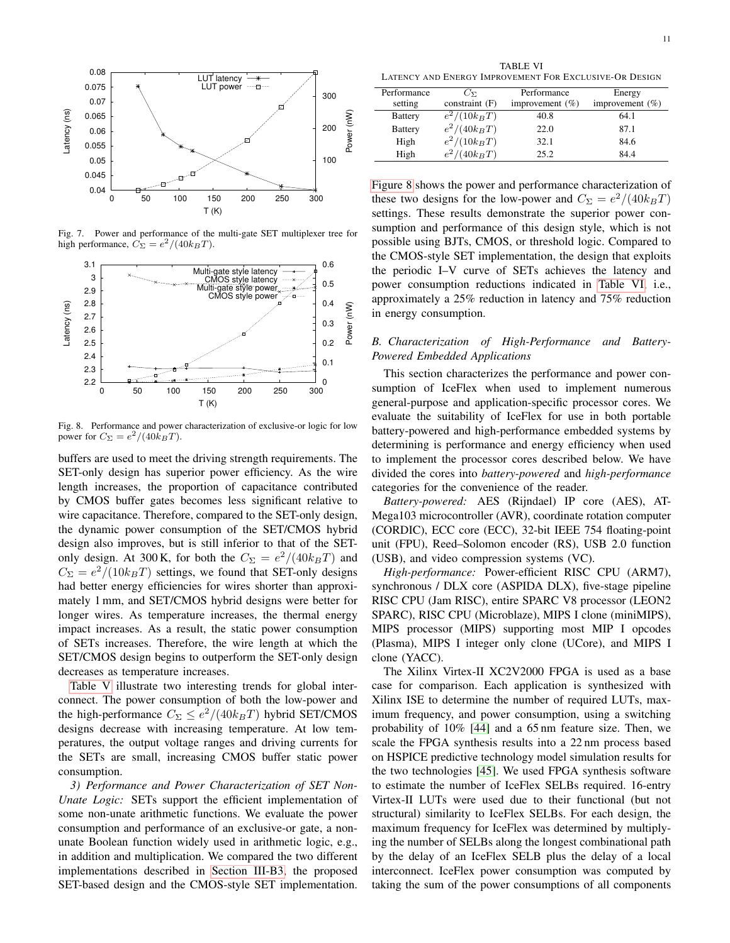

<span id="page-10-1"></span>Fig. 7. Power and performance of the multi-gate SET multiplexer tree for high performance,  $C_{\Sigma} = e^2/(40k_BT)$ .



<span id="page-10-2"></span>Fig. 8. Performance and power characterization of exclusive-or logic for low power for  $C_{\Sigma} = e^2/(40k_BT)$ .

buffers are used to meet the driving strength requirements. The SET-only design has superior power efficiency. As the wire length increases, the proportion of capacitance contributed by CMOS buffer gates becomes less significant relative to wire capacitance. Therefore, compared to the SET-only design, the dynamic power consumption of the SET/CMOS hybrid design also improves, but is still inferior to that of the SETonly design. At 300 K, for both the  $C_{\Sigma} = e^2/(40k_BT)$  and  $C_{\Sigma} = e^2/(10k_BT)$  settings, we found that SET-only designs had better energy efficiencies for wires shorter than approximately 1 mm, and SET/CMOS hybrid designs were better for longer wires. As temperature increases, the thermal energy impact increases. As a result, the static power consumption of SETs increases. Therefore, the wire length at which the SET/CMOS design begins to outperform the SET-only design decreases as temperature increases.

[Table V](#page-9-1) illustrate two interesting trends for global interconnect. The power consumption of both the low-power and the high-performance  $C_{\Sigma} \leq e^2/(40k_BT)$  hybrid SET/CMOS designs decrease with increasing temperature. At low temperatures, the output voltage ranges and driving currents for the SETs are small, increasing CMOS buffer static power consumption.

*3) Performance and Power Characterization of SET Non-Unate Logic:* SETs support the efficient implementation of some non-unate arithmetic functions. We evaluate the power consumption and performance of an exclusive-or gate, a nonunate Boolean function widely used in arithmetic logic, e.g., in addition and multiplication. We compared the two different implementations described in [Section III-B3,](#page-6-0) the proposed SET-based design and the CMOS-style SET implementation.

<span id="page-10-3"></span>TABLE VI LATENCY AND ENERGY IMPROVEMENT FOR EXCLUSIVE-OR DESIGN

| Performance    | $C_{\nabla}$   | Performance         | Energy              |
|----------------|----------------|---------------------|---------------------|
| setting        | constraint (F) | improvement $(\% )$ | improvement $(\% )$ |
| <b>Battery</b> | $e^2/(10k_BT)$ | 40.8                | 64.1                |
| <b>Battery</b> | $e^2/(40k_BT)$ | 22.0                | 87.1                |
| High           | $e^2/(10k_BT)$ | 32.1                | 84.6                |
| High           | $e^2/(40k_BT)$ | 25.2                | 84.4                |
|                |                |                     |                     |

[Figure 8](#page-10-2) shows the power and performance characterization of these two designs for the low-power and  $C_{\Sigma} = e^2/(40k_BT)$ settings. These results demonstrate the superior power consumption and performance of this design style, which is not possible using BJTs, CMOS, or threshold logic. Compared to the CMOS-style SET implementation, the design that exploits the periodic I–V curve of SETs achieves the latency and power consumption reductions indicated in [Table VI,](#page-10-3) i.e., approximately a 25% reduction in latency and 75% reduction in energy consumption.

# <span id="page-10-0"></span>*B. Characterization of High-Performance and Battery-Powered Embedded Applications*

This section characterizes the performance and power consumption of IceFlex when used to implement numerous general-purpose and application-specific processor cores. We evaluate the suitability of IceFlex for use in both portable battery-powered and high-performance embedded systems by determining is performance and energy efficiency when used to implement the processor cores described below. We have divided the cores into *battery-powered* and *high-performance* categories for the convenience of the reader.

*Battery-powered:* AES (Rijndael) IP core (AES), AT-Mega103 microcontroller (AVR), coordinate rotation computer (CORDIC), ECC core (ECC), 32-bit IEEE 754 floating-point unit (FPU), Reed–Solomon encoder (RS), USB 2.0 function (USB), and video compression systems (VC).

*High-performance:* Power-efficient RISC CPU (ARM7), synchronous / DLX core (ASPIDA DLX), five-stage pipeline RISC CPU (Jam RISC), entire SPARC V8 processor (LEON2 SPARC), RISC CPU (Microblaze), MIPS I clone (miniMIPS), MIPS processor (MIPS) supporting most MIP I opcodes (Plasma), MIPS I integer only clone (UCore), and MIPS I clone (YACC).

The Xilinx Virtex-II XC2V2000 FPGA is used as a base case for comparison. Each application is synthesized with Xilinx ISE to determine the number of required LUTs, maximum frequency, and power consumption, using a switching probability of 10% [\[44\]](#page-13-11) and a 65 nm feature size. Then, we scale the FPGA synthesis results into a 22 nm process based on HSPICE predictive technology model simulation results for the two technologies [\[45\]](#page-13-12). We used FPGA synthesis software to estimate the number of IceFlex SELBs required. 16-entry Virtex-II LUTs were used due to their functional (but not structural) similarity to IceFlex SELBs. For each design, the maximum frequency for IceFlex was determined by multiplying the number of SELBs along the longest combinational path by the delay of an IceFlex SELB plus the delay of a local interconnect. IceFlex power consumption was computed by taking the sum of the power consumptions of all components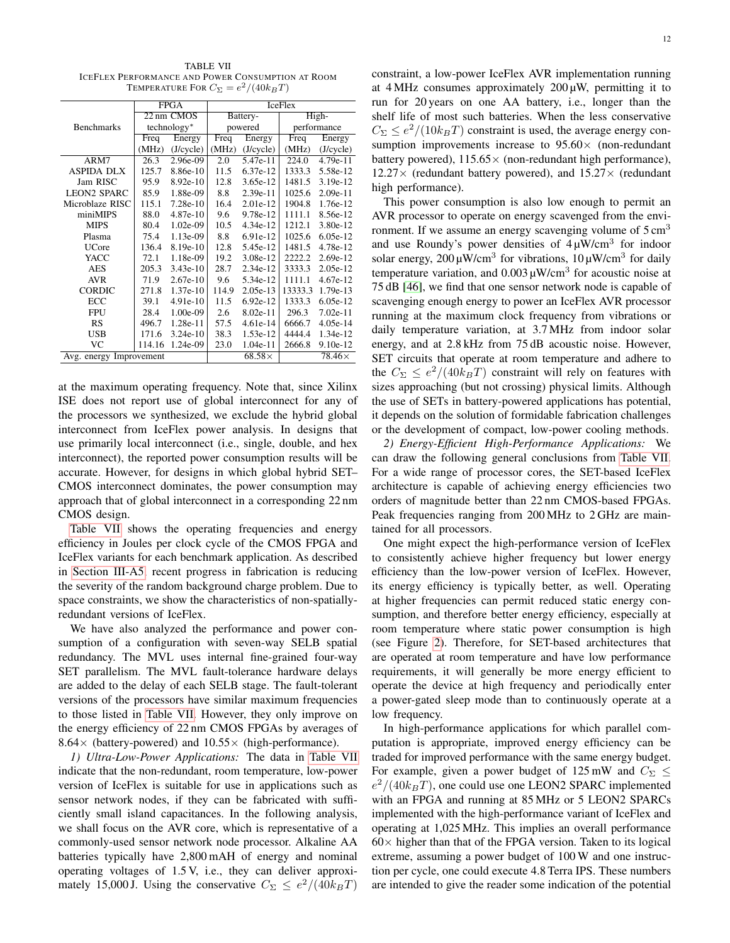<span id="page-11-0"></span>TABLE VII ICEFLEX PERFORMANCE AND POWER CONSUMPTION AT ROOM TEMPERATURE FOR  $C_{\Sigma} = e^2/(40 k_B T)$ 

|                         |        | <b>FPGA</b> |       |               | <b>IceFlex</b> |               |  |
|-------------------------|--------|-------------|-------|---------------|----------------|---------------|--|
|                         |        | 22 nm CMOS  |       | Battery-      | High-          |               |  |
| <b>Benchmarks</b>       |        | technology* |       | powered       | performance    |               |  |
|                         | Freq   | Energy      |       | Energy        | Freq           | Energy        |  |
|                         | (MHz)  | (J/cycle)   | (MHz) | (J/cycle)     | (MHz)          | (J/cycle)     |  |
| ARM7                    | 26.3   | 2.96e-09    | 2.0   | $5.47e-11$    | 224.0          | $4.79e-11$    |  |
| <b>ASPIDA DLX</b>       | 125.7  | 8.86e-10    | 11.5  | 6.37e-12      | 1333.3         | 5.58e-12      |  |
| Jam RISC                | 95.9   | $8.92e-10$  | 12.8  | 3.65e-12      | 1481.5         | 3.19e-12      |  |
| <b>LEON2 SPARC</b>      | 85.9   | 1.88e-09    | 8.8   | $2.39e-11$    | 1025.6         | $2.09e-11$    |  |
| Microblaze RISC         | 115.1  | $7.28e-10$  | 16.4  | 2.01e-12      | 1904.8         | 1.76e-12      |  |
| miniMIPS                | 88.0   | $4.87e-10$  | 9.6   | 9.78e-12      | 1111.1         | 8.56e-12      |  |
| <b>MIPS</b>             | 80.4   | 1.02e-09    | 10.5  | 4.34e-12      | 1212.1         | 3.80e-12      |  |
| Plasma                  | 75.4   | $1.13e-09$  | 8.8   | 6.91e-12      | 1025.6         | 6.05e-12      |  |
| <b>UCore</b>            | 136.4  | 8.19e-10    | 12.8  | 5.45e-12      | 1481.5         | 4.78e-12      |  |
| YACC                    | 72.1   | 1.18e-09    | 19.2  | 3.08e-12      | 2222.2         | 2.69e-12      |  |
| AES                     | 205.3  | $3.43e-10$  | 28.7  | 2.34e-12      | 3333.3         | 2.05e-12      |  |
| <b>AVR</b>              | 71.9   | $2.67e-10$  | 9.6   | 5.34e-12      | 1111.1         | 4.67e-12      |  |
| <b>CORDIC</b>           | 271.8  | $1.37e-10$  | 114.9 | $2.05e-13$    | 13333.3        | 1.79e-13      |  |
| ECC                     | 39.1   | 4.91e-10    | 11.5  | $6.92e-12$    | 1333.3         | $6.05e-12$    |  |
| <b>FPU</b>              | 28.4   | $1.00e-09$  | 2.6   | $8.02e-11$    | 296.3          | $7.02e-11$    |  |
| RS                      | 496.7  | 1.28e-11    | 57.5  | 4.61e-14      | 6666.7         | 4.05e-14      |  |
| USB                     | 171.6  | $3.24e-10$  | 38.3  | 1.53e-12      | 4444.4         | 1.34e-12      |  |
| VC                      | 114.16 | 1.24e-09    | 23.0  | 1.04e-11      | 2666.8         | $9.10e-12$    |  |
| Avg. energy Improvement |        |             |       | $68.58\times$ |                | $78.46\times$ |  |

at the maximum operating frequency. Note that, since Xilinx ISE does not report use of global interconnect for any of the processors we synthesized, we exclude the hybrid global interconnect from IceFlex power analysis. In designs that use primarily local interconnect (i.e., single, double, and hex interconnect), the reported power consumption results will be accurate. However, for designs in which global hybrid SET– CMOS interconnect dominates, the power consumption may approach that of global interconnect in a corresponding 22 nm CMOS design.

[Table VII](#page-11-0) shows the operating frequencies and energy efficiency in Joules per clock cycle of the CMOS FPGA and IceFlex variants for each benchmark application. As described in [Section III-A5,](#page-4-1) recent progress in fabrication is reducing the severity of the random background charge problem. Due to space constraints, we show the characteristics of non-spatiallyredundant versions of IceFlex.

We have also analyzed the performance and power consumption of a configuration with seven-way SELB spatial redundancy. The MVL uses internal fine-grained four-way SET parallelism. The MVL fault-tolerance hardware delays are added to the delay of each SELB stage. The fault-tolerant versions of the processors have similar maximum frequencies to those listed in [Table VII.](#page-11-0) However, they only improve on the energy efficiency of 22 nm CMOS FPGAs by averages of 8.64 $\times$  (battery-powered) and 10.55 $\times$  (high-performance).

*1) Ultra-Low-Power Applications:* The data in [Table VII](#page-11-0) indicate that the non-redundant, room temperature, low-power version of IceFlex is suitable for use in applications such as sensor network nodes, if they can be fabricated with sufficiently small island capacitances. In the following analysis, we shall focus on the AVR core, which is representative of a commonly-used sensor network node processor. Alkaline AA batteries typically have 2,800 mAH of energy and nominal operating voltages of 1.5 V, i.e., they can deliver approximately 15,000 J. Using the conservative  $C_{\Sigma} \leq e^2/(40k_BT)$ 

constraint, a low-power IceFlex AVR implementation running at  $4$ MHz consumes approximately  $200 \mu$ W, permitting it to run for 20 years on one AA battery, i.e., longer than the shelf life of most such batteries. When the less conservative  $C_{\Sigma} \leq e^2/(10k_BT)$  constraint is used, the average energy consumption improvements increase to  $95.60\times$  (non-redundant battery powered),  $115.65\times$  (non-redundant high performance),  $12.27\times$  (redundant battery powered), and  $15.27\times$  (redundant high performance).

This power consumption is also low enough to permit an AVR processor to operate on energy scavenged from the environment. If we assume an energy scavenging volume of  $5 \text{ cm}^3$ and use Roundy's power densities of  $4 \mu$ W/cm<sup>3</sup> for indoor solar energy,  $200 \mu W/cm^3$  for vibrations,  $10 \mu W/cm^3$  for daily temperature variation, and  $0.003 \mu$ W/cm<sup>3</sup> for acoustic noise at 75 dB [\[46\]](#page-13-13), we find that one sensor network node is capable of scavenging enough energy to power an IceFlex AVR processor running at the maximum clock frequency from vibrations or daily temperature variation, at 3.7 MHz from indoor solar energy, and at 2.8 kHz from 75 dB acoustic noise. However, SET circuits that operate at room temperature and adhere to the  $C_{\Sigma} \leq e^2/(40k_BT)$  constraint will rely on features with sizes approaching (but not crossing) physical limits. Although the use of SETs in battery-powered applications has potential, it depends on the solution of formidable fabrication challenges or the development of compact, low-power cooling methods.

*2) Energy-Efficient High-Performance Applications:* We can draw the following general conclusions from [Table VII.](#page-11-0) For a wide range of processor cores, the SET-based IceFlex architecture is capable of achieving energy efficiencies two orders of magnitude better than 22 nm CMOS-based FPGAs. Peak frequencies ranging from 200 MHz to 2 GHz are maintained for all processors.

One might expect the high-performance version of IceFlex to consistently achieve higher frequency but lower energy efficiency than the low-power version of IceFlex. However, its energy efficiency is typically better, as well. Operating at higher frequencies can permit reduced static energy consumption, and therefore better energy efficiency, especially at room temperature where static power consumption is high (see Figure [2\)](#page-2-0). Therefore, for SET-based architectures that are operated at room temperature and have low performance requirements, it will generally be more energy efficient to operate the device at high frequency and periodically enter a power-gated sleep mode than to continuously operate at a low frequency.

In high-performance applications for which parallel computation is appropriate, improved energy efficiency can be traded for improved performance with the same energy budget. For example, given a power budget of 125 mW and  $C_{\Sigma} \leq$  $e^2/(40k_BT)$ , one could use one LEON2 SPARC implemented with an FPGA and running at 85 MHz or 5 LEON2 SPARCs implemented with the high-performance variant of IceFlex and operating at 1,025 MHz. This implies an overall performance  $60\times$  higher than that of the FPGA version. Taken to its logical extreme, assuming a power budget of 100 W and one instruction per cycle, one could execute 4.8 Terra IPS. These numbers are intended to give the reader some indication of the potential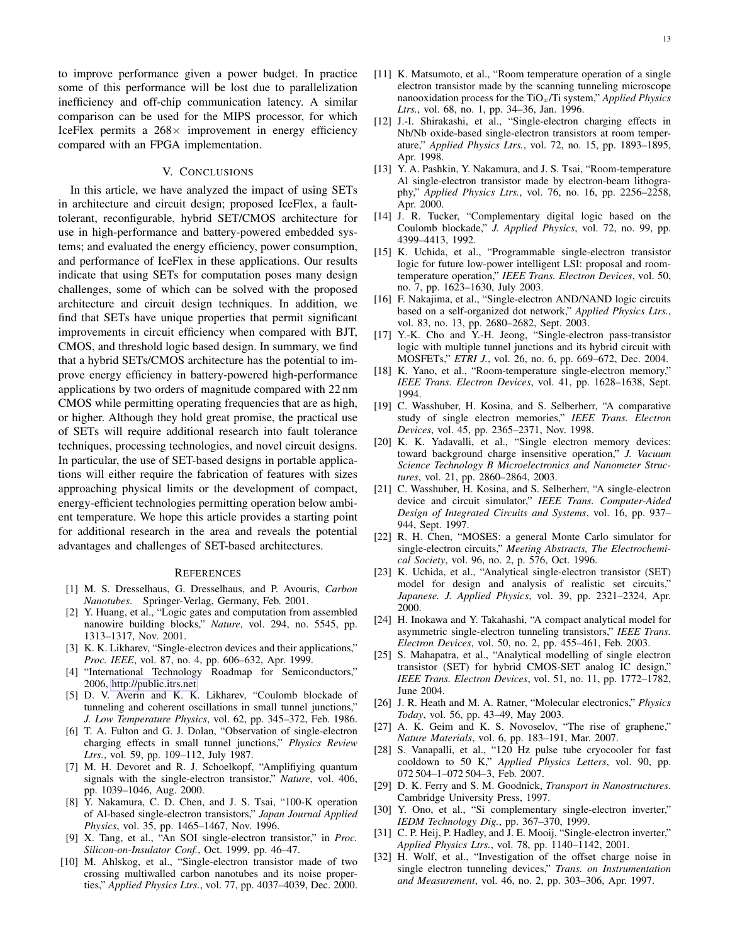to improve performance given a power budget. In practice some of this performance will be lost due to parallelization inefficiency and off-chip communication latency. A similar comparison can be used for the MIPS processor, for which IceFlex permits a  $268 \times$  improvement in energy efficiency compared with an FPGA implementation.

## V. CONCLUSIONS

In this article, we have analyzed the impact of using SETs in architecture and circuit design; proposed IceFlex, a faulttolerant, reconfigurable, hybrid SET/CMOS architecture for use in high-performance and battery-powered embedded systems; and evaluated the energy efficiency, power consumption, and performance of IceFlex in these applications. Our results indicate that using SETs for computation poses many design challenges, some of which can be solved with the proposed architecture and circuit design techniques. In addition, we find that SETs have unique properties that permit significant improvements in circuit efficiency when compared with BJT, CMOS, and threshold logic based design. In summary, we find that a hybrid SETs/CMOS architecture has the potential to improve energy efficiency in battery-powered high-performance applications by two orders of magnitude compared with 22 nm CMOS while permitting operating frequencies that are as high, or higher. Although they hold great promise, the practical use of SETs will require additional research into fault tolerance techniques, processing technologies, and novel circuit designs. In particular, the use of SET-based designs in portable applications will either require the fabrication of features with sizes approaching physical limits or the development of compact, energy-efficient technologies permitting operation below ambient temperature. We hope this article provides a starting point for additional research in the area and reveals the potential advantages and challenges of SET-based architectures.

### **REFERENCES**

- <span id="page-12-0"></span>[1] M. S. Dresselhaus, G. Dresselhaus, and P. Avouris, *Carbon Nanotubes*. Springer-Verlag, Germany, Feb. 2001.
- <span id="page-12-1"></span>[2] Y. Huang, et al., "Logic gates and computation from assembled nanowire building blocks," *Nature*, vol. 294, no. 5545, pp. 1313–1317, Nov. 2001.
- <span id="page-12-2"></span>[3] K. K. Likharev, "Single-electron devices and their applications," *Proc. IEEE*, vol. 87, no. 4, pp. 606–632, Apr. 1999.
- <span id="page-12-3"></span>[4] "International Technology Roadmap for Semiconductors," 2006, [http://public.itrs.net.](http://public.itrs.net)
- <span id="page-12-4"></span>[5] D. V. Averin and K. K. Likharev, "Coulomb blockade of tunneling and coherent oscillations in small tunnel junctions," *J. Low Temperature Physics*, vol. 62, pp. 345–372, Feb. 1986.
- <span id="page-12-5"></span>[6] T. A. Fulton and G. J. Dolan, "Observation of single-electron charging effects in small tunnel junctions," *Physics Review Ltrs.*, vol. 59, pp. 109–112, July 1987.
- <span id="page-12-6"></span>[7] M. H. Devoret and R. J. Schoelkopf, "Amplifiying quantum signals with the single-electron transistor," *Nature*, vol. 406, pp. 1039–1046, Aug. 2000.
- <span id="page-12-7"></span>[8] Y. Nakamura, C. D. Chen, and J. S. Tsai, "100-K operation of Al-based single-electron transistors," *Japan Journal Applied Physics*, vol. 35, pp. 1465–1467, Nov. 1996.
- [9] X. Tang, et al., "An SOI single-electron transistor," in *Proc. Silicon-on-Insulator Conf.*, Oct. 1999, pp. 46–47.
- <span id="page-12-8"></span>[10] M. Ahlskog, et al., "Single-electron transistor made of two crossing multiwalled carbon nanotubes and its noise properties," *Applied Physics Ltrs.*, vol. 77, pp. 4037–4039, Dec. 2000.
- <span id="page-12-9"></span>[11] K. Matsumoto, et al., "Room temperature operation of a single electron transistor made by the scanning tunneling microscope nanooxidation process for the TiOx/Ti system," *Applied Physics Ltrs.*, vol. 68, no. 1, pp. 34–36, Jan. 1996.
- <span id="page-12-24"></span>[12] J.-I. Shirakashi, et al., "Single-electron charging effects in Nb/Nb oxide-based single-electron transistors at room temperature," *Applied Physics Ltrs.*, vol. 72, no. 15, pp. 1893–1895, Apr. 1998.
- <span id="page-12-10"></span>[13] Y. A. Pashkin, Y. Nakamura, and J. S. Tsai, "Room-temperature Al single-electron transistor made by electron-beam lithography," *Applied Physics Ltrs.*, vol. 76, no. 16, pp. 2256–2258, Apr. 2000.
- <span id="page-12-11"></span>[14] J. R. Tucker, "Complementary digital logic based on the Coulomb blockade," *J. Applied Physics*, vol. 72, no. 99, pp. 4399–4413, 1992.
- [15] K. Uchida, et al., "Programmable single-electron transistor logic for future low-power intelligent LSI: proposal and roomtemperature operation," *IEEE Trans. Electron Devices*, vol. 50, no. 7, pp. 1623–1630, July 2003.
- [16] F. Nakajima, et al., "Single-electron AND/NAND logic circuits based on a self-organized dot network," *Applied Physics Ltrs.*, vol. 83, no. 13, pp. 2680–2682, Sept. 2003.
- <span id="page-12-12"></span>[17] Y.-K. Cho and Y.-H. Jeong, "Single-electron pass-transistor logic with multiple tunnel junctions and its hybrid circuit with MOSFETs," *ETRI J.*, vol. 26, no. 6, pp. 669–672, Dec. 2004.
- <span id="page-12-13"></span>[18] K. Yano, et al., "Room-temperature single-electron memory," *IEEE Trans. Electron Devices*, vol. 41, pp. 1628–1638, Sept. 1994.
- [19] C. Wasshuber, H. Kosina, and S. Selberherr, "A comparative study of single electron memories," *IEEE Trans. Electron Devices*, vol. 45, pp. 2365–2371, Nov. 1998.
- <span id="page-12-14"></span>[20] K. K. Yadavalli, et al., "Single electron memory devices: toward background charge insensitive operation," *J. Vacuum Science Technology B Microelectronics and Nanometer Structures*, vol. 21, pp. 2860–2864, 2003.
- <span id="page-12-15"></span>[21] C. Wasshuber, H. Kosina, and S. Selberherr, "A single-electron device and circuit simulator," *IEEE Trans. Computer-Aided Design of Integrated Circuits and Systems*, vol. 16, pp. 937– 944, Sept. 1997.
- <span id="page-12-16"></span>[22] R. H. Chen, "MOSES: a general Monte Carlo simulator for single-electron circuits," *Meeting Abstracts, The Electrochemical Society*, vol. 96, no. 2, p. 576, Oct. 1996.
- <span id="page-12-17"></span>[23] K. Uchida, et al., "Analytical single-electron transistor (SET) model for design and analysis of realistic set circuits," *Japanese. J. Applied Physics*, vol. 39, pp. 2321–2324, Apr. 2000.
- <span id="page-12-18"></span>[24] H. Inokawa and Y. Takahashi, "A compact analytical model for asymmetric single-electron tunneling transistors," *IEEE Trans. Electron Devices*, vol. 50, no. 2, pp. 455–461, Feb. 2003.
- <span id="page-12-19"></span>[25] S. Mahapatra, et al., "Analytical modelling of single electron transistor (SET) for hybrid CMOS-SET analog IC design," *IEEE Trans. Electron Devices*, vol. 51, no. 11, pp. 1772–1782, June 2004.
- <span id="page-12-20"></span>[26] J. R. Heath and M. A. Ratner, "Molecular electronics," *Physics Today*, vol. 56, pp. 43–49, May 2003.
- <span id="page-12-21"></span>[27] A. K. Geim and K. S. Novoselov, "The rise of graphene," *Nature Materials*, vol. 6, pp. 183–191, Mar. 2007.
- <span id="page-12-22"></span>[28] S. Vanapalli, et al., "120 Hz pulse tube cryocooler for fast cooldown to 50 K," *Applied Physics Letters*, vol. 90, pp. 072 504–1–072 504–3, Feb. 2007.
- <span id="page-12-23"></span>[29] D. K. Ferry and S. M. Goodnick, *Transport in Nanostructures*. Cambridge University Press, 1997.
- <span id="page-12-25"></span>[30] Y. Ono, et al., "Si complementary single-electron inverter," *IEDM Technology Dig.*, pp. 367–370, 1999.
- <span id="page-12-26"></span>[31] C. P. Heij, P. Hadley, and J. E. Mooij, "Single-electron inverter," *Applied Physics Ltrs.*, vol. 78, pp. 1140–1142, 2001.
- <span id="page-12-27"></span>[32] H. Wolf, et al., "Investigation of the offset charge noise in single electron tunneling devices," *Trans. on Instrumentation and Measurement*, vol. 46, no. 2, pp. 303–306, Apr. 1997.